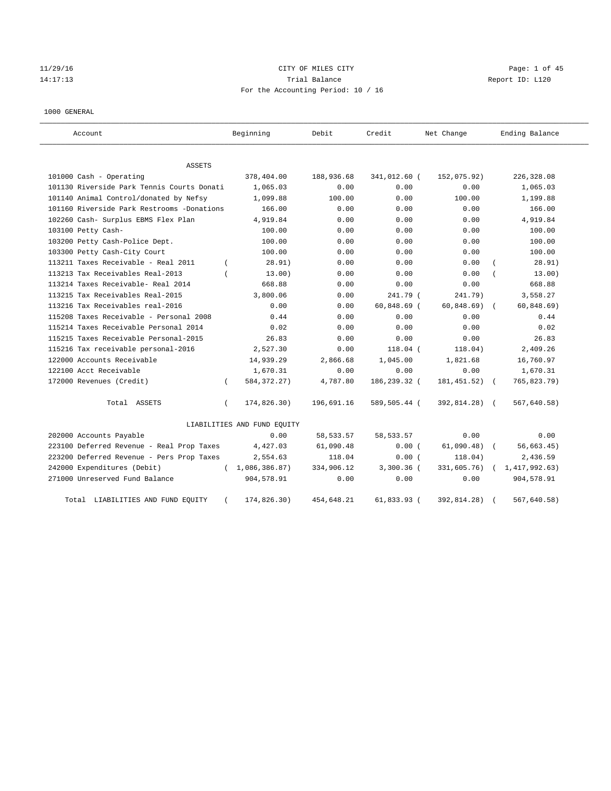# $11/29/16$  Page: 1 of 45 14:17:13 Channel Balance Trial Balance Report ID: L120 For the Accounting Period: 10 / 16

#### 1000 GENERAL

| Account                                    |          | Beginning                   | Debit       | Credit        | Net Change    | Ending Balance |
|--------------------------------------------|----------|-----------------------------|-------------|---------------|---------------|----------------|
| ASSETS                                     |          |                             |             |               |               |                |
| 101000 Cash - Operating                    |          | 378,404.00                  | 188,936.68  | 341,012.60 (  | 152,075.92)   | 226,328.08     |
| 101130 Riverside Park Tennis Courts Donati |          | 1,065.03                    | 0.00        | 0.00          | 0.00          | 1,065.03       |
| 101140 Animal Control/donated by Nefsy     |          | 1,099.88                    | 100.00      | 0.00          | 100.00        | 1,199.88       |
| 101160 Riverside Park Restrooms -Donations |          | 166.00                      | 0.00        | 0.00          | 0.00          | 166.00         |
| 102260 Cash- Surplus EBMS Flex Plan        |          | 4,919.84                    | 0.00        | 0.00          | 0.00          | 4,919.84       |
| 103100 Petty Cash-                         |          | 100.00                      | 0.00        | 0.00          | 0.00          | 100.00         |
| 103200 Petty Cash-Police Dept.             |          | 100.00                      | 0.00        | 0.00          | 0.00          | 100.00         |
| 103300 Petty Cash-City Court               |          | 100.00                      | 0.00        | 0.00          | 0.00          | 100.00         |
| 113211 Taxes Receivable - Real 2011        |          | 28.91)                      | 0.00        | 0.00          | 0.00          | 28.91)         |
| 113213 Tax Receivables Real-2013           |          | 13.00)                      | 0.00        | 0.00          | 0.00          | 13.00)         |
| 113214 Taxes Receivable- Real 2014         |          | 668.88                      | 0.00        | 0.00          | 0.00          | 668.88         |
| 113215 Tax Receivables Real-2015           |          | 3,800.06                    | 0.00        | 241.79 (      | 241.79)       | 3,558.27       |
| 113216 Tax Receivables real-2016           |          | 0.00                        | 0.00        | $60,848.69$ ( | 60, 848.69)   | 60, 848.69)    |
| 115208 Taxes Receivable - Personal 2008    |          | 0.44                        | 0.00        | 0.00          | 0.00          | 0.44           |
| 115214 Taxes Receivable Personal 2014      |          | 0.02                        | 0.00        | 0.00          | 0.00          | 0.02           |
| 115215 Taxes Receivable Personal-2015      |          | 26.83                       | 0.00        | 0.00          | 0.00          | 26.83          |
| 115216 Tax receivable personal-2016        |          | 2,527.30                    | 0.00        | $118.04$ (    | 118.04)       | 2,409.26       |
| 122000 Accounts Receivable                 |          | 14,939.29                   | 2,866.68    | 1,045.00      | 1,821.68      | 16,760.97      |
| 122100 Acct Receivable                     |          | 1,670.31                    | 0.00        | 0.00          | 0.00          | 1,670.31       |
| 172000 Revenues (Credit)                   | $\left($ | 584, 372. 27)               | 4,787.80    | 186,239.32 (  | 181, 451.52)  | 765,823.79)    |
| Total ASSETS                               | $\left($ | 174,826.30)                 | 196,691.16  | 589,505.44 (  | 392,814.28) ( | 567,640.58)    |
|                                            |          | LIABILITIES AND FUND EQUITY |             |               |               |                |
| 202000 Accounts Payable                    |          | 0.00                        | 58, 533. 57 | 58, 533. 57   | 0.00          | 0.00           |
| 223100 Deferred Revenue - Real Prop Taxes  |          | 4,427.03                    | 61,090.48   | 0.00(         | 61,090.48)    | 56,663.45)     |
| 223200 Deferred Revenue - Pers Prop Taxes  |          | 2,554.63                    | 118.04      | 0.00(         | 118.04)       | 2,436.59       |
| 242000 Expenditures (Debit)                |          | (1,086,386.87)              | 334,906.12  | $3,300.36$ (  | 331,605.76)   | 1,417,992.63)  |
| 271000 Unreserved Fund Balance             |          | 904,578.91                  | 0.00        | 0.00          | 0.00          | 904,578.91     |
| Total LIABILITIES AND FUND EQUITY          |          | 174,826.30)                 | 454,648.21  | 61,833.93 (   | 392,814.28)   | 567,640.58)    |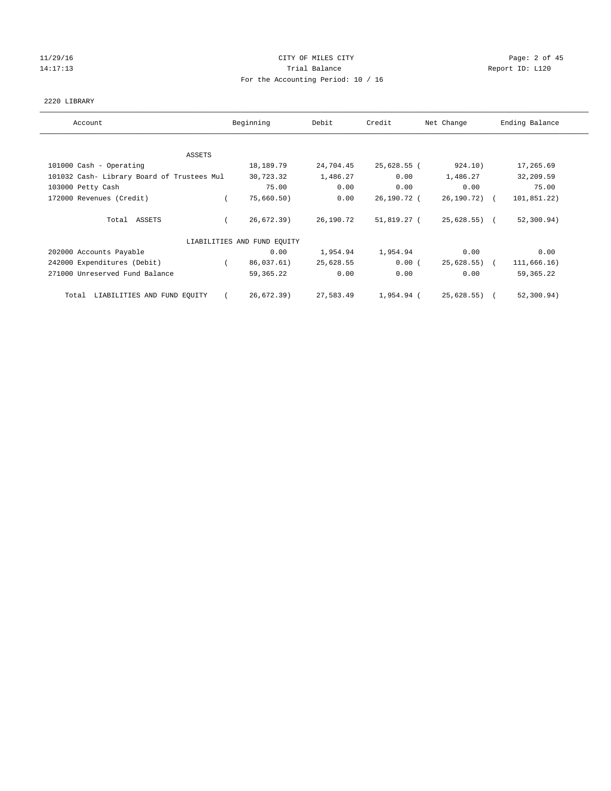#### 11/29/16 CITY OF MILES CITY Page: 2 of 45 14:17:13 **Trial Balance Report ID:** L120 For the Accounting Period: 10 / 16

#### 2220 LIBRARY

| Account                                    | Beginning                   | Debit     | Credit      | Net Change   | Ending Balance |
|--------------------------------------------|-----------------------------|-----------|-------------|--------------|----------------|
| ASSETS                                     |                             |           |             |              |                |
| 101000 Cash - Operating                    | 18,189.79                   | 24,704.45 | 25,628.55 ( | 924.10)      | 17,265.69      |
| 101032 Cash- Library Board of Trustees Mul | 30,723.32                   | 1,486.27  | 0.00        | 1,486.27     | 32,209.59      |
| 103000 Petty Cash                          | 75.00                       | 0.00      | 0.00        | 0.00         | 75.00          |
| 172000 Revenues (Credit)                   | 75,660.50)                  | 0.00      | 26,190.72 ( | 26,190.72) ( | 101,851.22)    |
| Total ASSETS                               | 26,672.39)                  | 26,190.72 | 51,819.27 ( | 25,628.55) ( | 52, 300.94)    |
|                                            | LIABILITIES AND FUND EQUITY |           |             |              |                |
| 202000 Accounts Payable                    | 0.00                        | 1,954.94  | 1,954.94    | 0.00         | 0.00           |
| 242000 Expenditures (Debit)                | 86,037.61)                  | 25,628.55 | 0.00(       | 25,628.55) ( | 111,666.16)    |
| 271000 Unreserved Fund Balance             | 59,365.22                   | 0.00      | 0.00        | 0.00         | 59, 365. 22    |
| Total LIABILITIES AND FUND EQUITY          | 26,672.39)                  | 27,583.49 | 1,954.94 (  | 25,628.55) ( | 52, 300.94)    |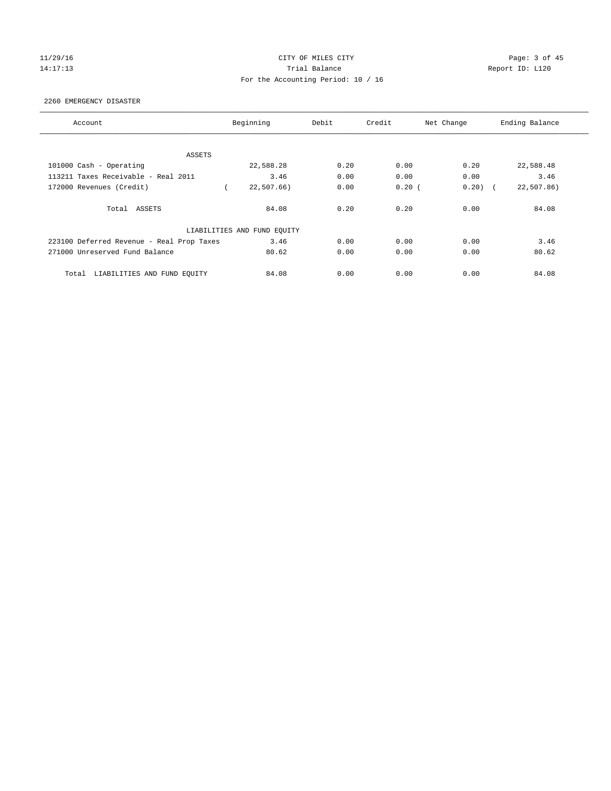#### 11/29/16 CITY OF MILES CITY Page: 3 of 45 14:17:13 **Trial Balance Report ID:** L120 For the Accounting Period: 10 / 16

#### 2260 EMERGENCY DISASTER

| Account                                   | Beginning                   | Debit | Credit | Net Change | Ending Balance |
|-------------------------------------------|-----------------------------|-------|--------|------------|----------------|
|                                           |                             |       |        |            |                |
| ASSETS                                    |                             |       |        |            |                |
| 101000 Cash - Operating                   | 22,588.28                   | 0.20  | 0.00   | 0.20       | 22,588.48      |
| 113211 Taxes Receivable - Real 2011       | 3.46                        | 0.00  | 0.00   | 0.00       | 3.46           |
| 172000 Revenues (Credit)                  | 22,507.66)                  | 0.00  | 0.20(  | 0.20)      | 22,507.86)     |
| Total ASSETS                              | 84.08                       | 0.20  | 0.20   | 0.00       | 84.08          |
|                                           | LIABILITIES AND FUND EQUITY |       |        |            |                |
| 223100 Deferred Revenue - Real Prop Taxes | 3.46                        | 0.00  | 0.00   | 0.00       | 3.46           |
| 271000 Unreserved Fund Balance            | 80.62                       | 0.00  | 0.00   | 0.00       | 80.62          |
| LIABILITIES AND FUND EQUITY<br>Total      | 84.08                       | 0.00  | 0.00   | 0.00       | 84.08          |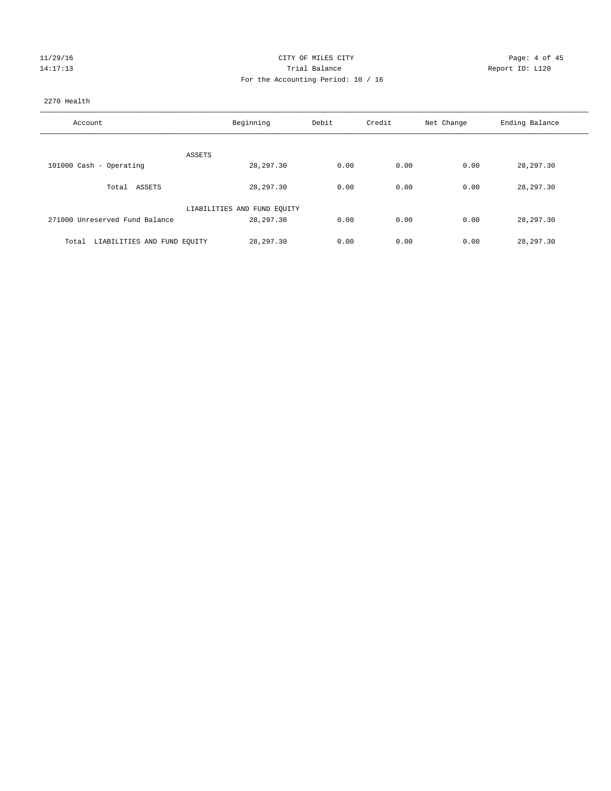| 11/29/16 |  |
|----------|--|
| 14:17:13 |  |

#### CITY OF MILES CITY **Example 20** Page: 4 of 45 Partial Balance and Communications of the Report ID: L120 For the Accounting Period: 10 / 16

#### 2270 Health

| Account                              | Beginning                   | Debit | Credit | Net Change | Ending Balance |
|--------------------------------------|-----------------------------|-------|--------|------------|----------------|
| ASSETS                               |                             |       |        |            |                |
| 101000 Cash - Operating              | 28, 297.30                  | 0.00  | 0.00   | 0.00       | 28, 297.30     |
| Total ASSETS                         | 28,297.30                   | 0.00  | 0.00   | 0.00       | 28,297.30      |
|                                      | LIABILITIES AND FUND EQUITY |       |        |            |                |
| 271000 Unreserved Fund Balance       | 28,297.30                   | 0.00  | 0.00   | 0.00       | 28,297.30      |
| LIABILITIES AND FUND EQUITY<br>Total | 28, 297, 30                 | 0.00  | 0.00   | 0.00       | 28,297.30      |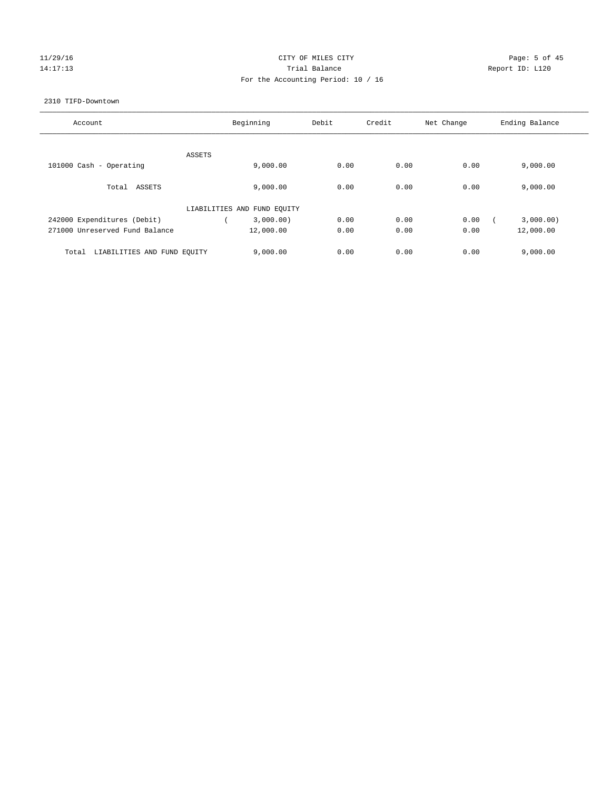# 11/29/16 Page: 5 of 45 14:17:13 **Trial Balance Report ID:** L120 For the Accounting Period: 10 / 16

#### 2310 TIFD-Downtown

| Account                              | Beginning                   | Debit | Credit | Net Change | Ending Balance |
|--------------------------------------|-----------------------------|-------|--------|------------|----------------|
|                                      |                             |       |        |            |                |
| ASSETS                               |                             |       |        |            |                |
| 101000 Cash - Operating              | 9,000.00                    | 0.00  | 0.00   | 0.00       | 9,000.00       |
|                                      |                             |       |        |            |                |
| Total ASSETS                         | 9.000.00                    | 0.00  | 0.00   | 0.00       | 9,000.00       |
|                                      |                             |       |        |            |                |
|                                      | LIABILITIES AND FUND EQUITY |       |        |            |                |
| 242000 Expenditures (Debit)          | 3,000.00)                   | 0.00  | 0.00   | 0.00       | 3,000.00)      |
| 271000 Unreserved Fund Balance       | 12,000.00                   | 0.00  | 0.00   | 0.00       | 12,000.00      |
|                                      |                             |       |        |            |                |
| LIABILITIES AND FUND EQUITY<br>Total | 9.000.00                    | 0.00  | 0.00   | 0.00       | 9.000.00       |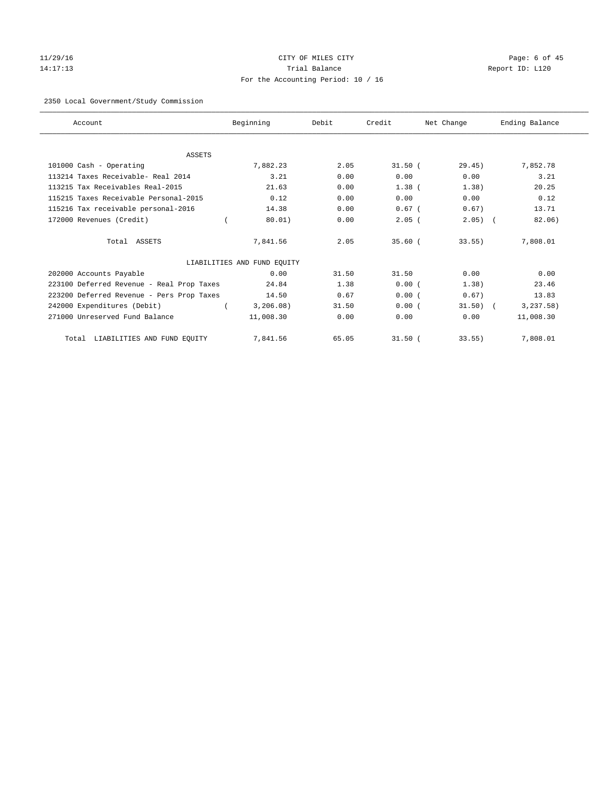# 11/29/16 Page: 6 of 45 14:17:13 Trial Balance Report ID: L120 For the Accounting Period: 10 / 16

#### 2350 Local Government/Study Commission

| Account                                   | Beginning                   | Debit | Credit    | Net Change | Ending Balance |
|-------------------------------------------|-----------------------------|-------|-----------|------------|----------------|
|                                           |                             |       |           |            |                |
| <b>ASSETS</b><br>101000 Cash - Operating  | 7.882.23                    | 2.05  | $31.50$ ( | 29.45)     | 7,852.78       |
| 113214 Taxes Receivable- Real 2014        | 3.21                        | 0.00  | 0.00      | 0.00       | 3.21           |
| 113215 Tax Receivables Real-2015          |                             |       |           |            |                |
|                                           | 21.63                       | 0.00  | $1.38$ (  | 1.38)      | 20.25          |
| 115215 Taxes Receivable Personal-2015     | 0.12                        | 0.00  | 0.00      | 0.00       | 0.12           |
| 115216 Tax receivable personal-2016       | 14.38                       | 0.00  | $0.67$ (  | 0.67)      | 13.71          |
| 172000 Revenues (Credit)                  | 80.01)                      | 0.00  | $2.05$ (  | $2.05)$ (  | 82.06)         |
| Total ASSETS                              | 7,841.56                    | 2.05  | $35.60$ ( | $33.55$ )  | 7,808.01       |
|                                           | LIABILITIES AND FUND EQUITY |       |           |            |                |
| 202000 Accounts Payable                   | 0.00                        | 31.50 | 31.50     | 0.00       | 0.00           |
| 223100 Deferred Revenue - Real Prop Taxes | 24.84                       | 1.38  | 0.00(     | 1.38)      | 23.46          |
| 223200 Deferred Revenue - Pers Prop Taxes | 14.50                       | 0.67  | 0.00(     | 0.67)      | 13.83          |
| 242000 Expenditures (Debit)               | 3,206.08)                   | 31.50 | 0.00(     | $31.50$ (  | 3, 237.58)     |
| 271000 Unreserved Fund Balance            | 11,008.30                   | 0.00  | 0.00      | 0.00       | 11,008.30      |
| LIABILITIES AND FUND EQUITY<br>Total      | 7,841.56                    | 65.05 | $31.50$ ( | 33.55)     | 7,808.01       |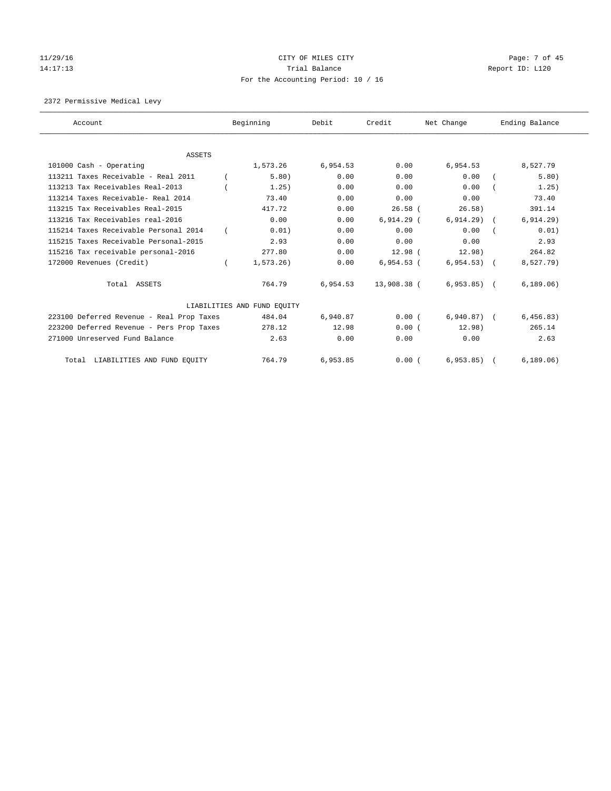# 11/29/16 Page: 7 of 45 14:17:13 **Trial Balance Report ID:** L120 For the Accounting Period: 10 / 16

2372 Permissive Medical Levy

| Account                                   | Beginning                   | Debit    | Credit       | Net Change   | Ending Balance |
|-------------------------------------------|-----------------------------|----------|--------------|--------------|----------------|
| <b>ASSETS</b>                             |                             |          |              |              |                |
| 101000 Cash - Operating                   | 1,573.26                    | 6,954.53 | 0.00         | 6,954.53     | 8,527.79       |
| 113211 Taxes Receivable - Real 2011       | 5.80)                       | 0.00     | 0.00         | 0.00         | 5.80)          |
| 113213 Tax Receivables Real-2013          | 1.25)                       | 0.00     | 0.00         | 0.00         | 1.25)          |
| 113214 Taxes Receivable- Real 2014        | 73.40                       | 0.00     | 0.00         | 0.00         | 73.40          |
| 113215 Tax Receivables Real-2015          | 417.72                      | 0.00     | $26.58$ (    | 26.58)       | 391.14         |
| 113216 Tax Receivables real-2016          | 0.00                        | 0.00     | $6,914.29$ ( | 6, 914.29)   | 6, 914.29)     |
| 115214 Taxes Receivable Personal 2014     | 0.01)                       | 0.00     | 0.00         | 0.00         | 0.01)          |
| 115215 Taxes Receivable Personal-2015     | 2.93                        | 0.00     | 0.00         | 0.00         | 2.93           |
| 115216 Tax receivable personal-2016       | 277.80                      | 0.00     | $12.98$ (    | 12.98)       | 264.82         |
| 172000 Revenues (Credit)                  | 1,573.26)                   | 0.00     | $6,954.53$ ( | $6,954.53$ ( | 8,527.79)      |
| Total ASSETS                              | 764.79                      | 6,954.53 | 13,908.38 (  | $6,953.85$ ( | 6, 189.06)     |
|                                           | LIABILITIES AND FUND EQUITY |          |              |              |                |
| 223100 Deferred Revenue - Real Prop Taxes | 484.04                      | 6,940.87 | 0.00(        | $6,940.87$ ( | 6,456.83)      |
| 223200 Deferred Revenue - Pers Prop Taxes | 278.12                      | 12.98    | 0.00(        | 12.98)       | 265.14         |
| 271000 Unreserved Fund Balance            | 2.63                        | 0.00     | 0.00         | 0.00         | 2.63           |
| LIABILITIES AND FUND EQUITY<br>Total      | 764.79                      | 6,953.85 | 0.00(        | 6, 953.85)   | 6, 189.06)     |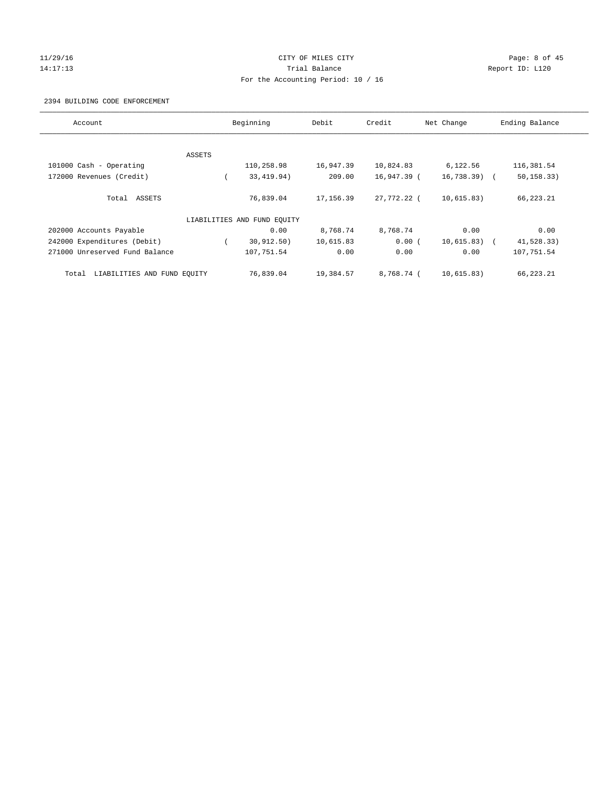#### 11/29/16 CITY OF MILES CITY Page: 8 of 45 14:17:13 **Trial Balance Report ID:** L120 For the Accounting Period: 10 / 16

#### 2394 BUILDING CODE ENFORCEMENT

| Account                              |        | Beginning                   | Debit      | Credit      | Net Change    | Ending Balance |
|--------------------------------------|--------|-----------------------------|------------|-------------|---------------|----------------|
|                                      |        |                             |            |             |               |                |
|                                      | ASSETS |                             |            |             |               |                |
| 101000 Cash - Operating              |        | 110,258.98                  | 16,947.39  | 10,824.83   | 6,122.56      | 116,381.54     |
| 172000 Revenues (Credit)             |        | 33, 419.94)                 | 209.00     | 16,947.39 ( | $16,738.39$ ( | 50, 158.33)    |
| Total ASSETS                         |        | 76,839.04                   | 17, 156.39 | 27,772.22 ( | 10,615.83)    | 66,223.21      |
|                                      |        | LIABILITIES AND FUND EQUITY |            |             |               |                |
| 202000 Accounts Payable              |        | 0.00                        | 8,768.74   | 8,768.74    | 0.00          | 0.00           |
| 242000 Expenditures (Debit)          |        | 30, 912, 50)                | 10,615.83  | 0.00(       | $10,615.83$ ( | 41,528.33)     |
| 271000 Unreserved Fund Balance       |        | 107,751.54                  | 0.00       | 0.00        | 0.00          | 107,751.54     |
| LIABILITIES AND FUND EQUITY<br>Total |        | 76,839.04                   | 19,384.57  | 8,768.74 (  | 10,615.83)    | 66,223.21      |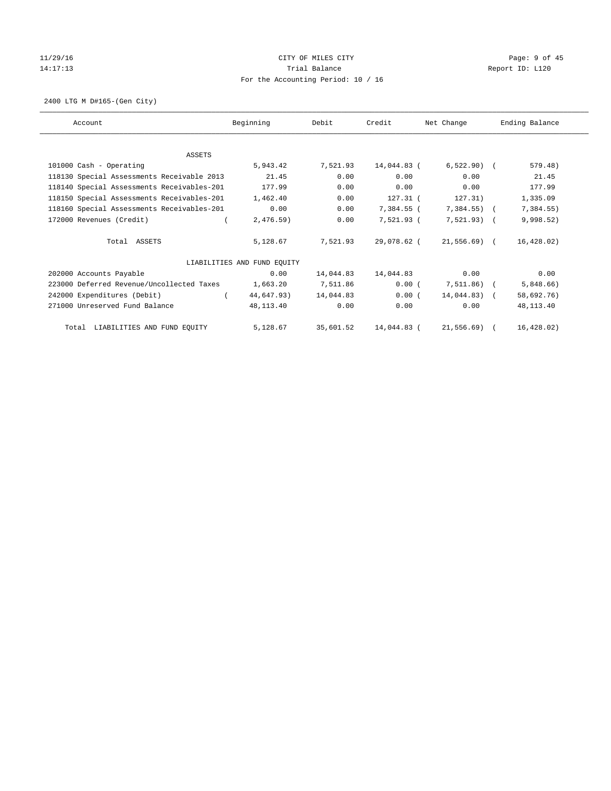# 11/29/16 Page: 9 of 45 14:17:13 **Trial Balance Report ID:** L120 For the Accounting Period: 10 / 16

2400 LTG M D#165-(Gen City)

| Account                                    | Beginning                   | Debit     | Credit      | Net Change     | Ending Balance |
|--------------------------------------------|-----------------------------|-----------|-------------|----------------|----------------|
|                                            |                             |           |             |                |                |
| <b>ASSETS</b>                              |                             |           |             |                |                |
| 101000 Cash - Operating                    | 5,943.42                    | 7,521.93  | 14,044.83 ( | $6,522.90$ (   | 579.48)        |
| 118130 Special Assessments Receivable 2013 | 21.45                       | 0.00      | 0.00        | 0.00           | 21.45          |
| 118140 Special Assessments Receivables-201 | 177.99                      | 0.00      | 0.00        | 0.00           | 177.99         |
| 118150 Special Assessments Receivables-201 | 1,462.40                    | 0.00      | 127.31 (    | 127.31)        | 1,335.09       |
| 118160 Special Assessments Receivables-201 | 0.00                        | 0.00      | 7,384.55 (  | $7,384.55$ ) ( | 7,384.55)      |
| 172000 Revenues (Credit)                   | 2,476.59)                   | 0.00      | 7,521.93 (  | $7,521.93$ (   | 9,998.52)      |
| Total ASSETS                               | 5,128.67                    | 7,521.93  | 29,078.62 ( | 21,556.69) (   | 16, 428.02)    |
|                                            | LIABILITIES AND FUND EQUITY |           |             |                |                |
| 202000 Accounts Payable                    | 0.00                        | 14,044.83 | 14,044.83   | 0.00           | 0.00           |
| 223000 Deferred Revenue/Uncollected Taxes  | 1,663.20                    | 7,511.86  | 0.00(       | 7,511.86) (    | 5,848.66)      |
| 242000 Expenditures (Debit)                | 44,647.93)                  | 14,044.83 | 0.00(       | $14,044.83$ (  | 58,692.76)     |
| 271000 Unreserved Fund Balance             | 48,113.40                   | 0.00      | 0.00        | 0.00           | 48, 113. 40    |
| Total LIABILITIES AND FUND EQUITY          | 5,128.67                    | 35,601.52 | 14,044.83 ( | 21,556.69) (   | 16,428.02)     |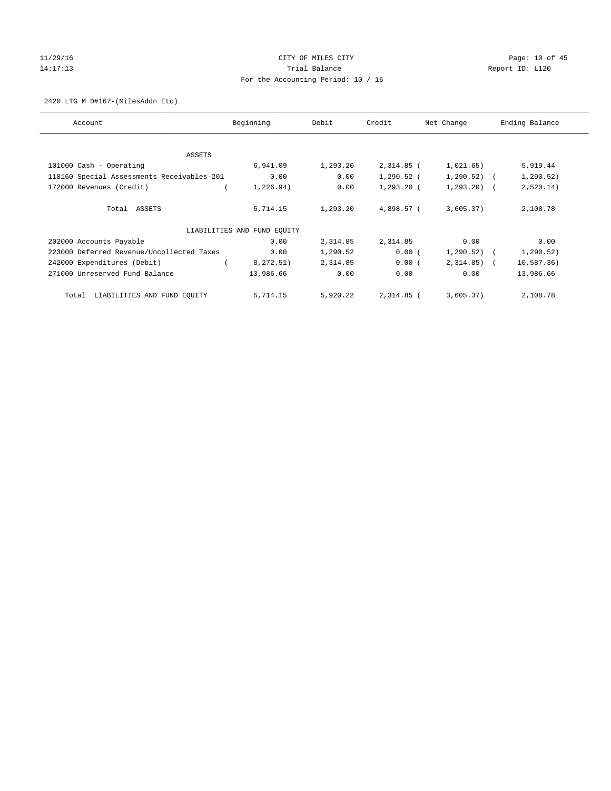## $11/29/16$  Page: 10 of 45 14:17:13 **Trial Balance Trial Balance Report ID:** L120 For the Accounting Period: 10 / 16

2420 LTG M D#167-(MilesAddn Etc)

| Account                                    | Beginning                   | Debit    | Credit       | Net Change    | Ending Balance |
|--------------------------------------------|-----------------------------|----------|--------------|---------------|----------------|
| ASSETS                                     |                             |          |              |               |                |
| 101000 Cash - Operating                    | 6,941.09                    | 1,293.20 | 2,314.85 (   | 1,021.65)     | 5,919.44       |
| 118160 Special Assessments Receivables-201 | 0.00                        | 0.00     | 1,290.52 (   | $1,290.52)$ ( | 1, 290.52)     |
| 172000 Revenues (Credit)                   | 1,226.94)                   | 0.00     | $1,293.20$ ( | $1, 293.20$ ( | 2,520.14)      |
| Total ASSETS                               | 5,714.15                    | 1,293.20 | 4,898.57 (   | 3,605.37)     | 2,108.78       |
|                                            | LIABILITIES AND FUND EQUITY |          |              |               |                |
| 202000 Accounts Payable                    | 0.00                        | 2,314.85 | 2,314.85     | 0.00          | 0.00           |
| 223000 Deferred Revenue/Uncollected Taxes  | 0.00                        | 1,290.52 | 0.00(        | $1,290.52)$ ( | 1, 290.52)     |
| 242000 Expenditures (Debit)                | 8,272.51)                   | 2,314.85 | 0.00(        | $2,314.85$ (  | 10, 587.36)    |
| 271000 Unreserved Fund Balance             | 13,986.66                   | 0.00     | 0.00         | 0.00          | 13,986.66      |
| LIABILITIES AND FUND EQUITY<br>Total       | 5,714.15                    | 5,920.22 | 2,314.85 (   | 3,605.37)     | 2,108.78       |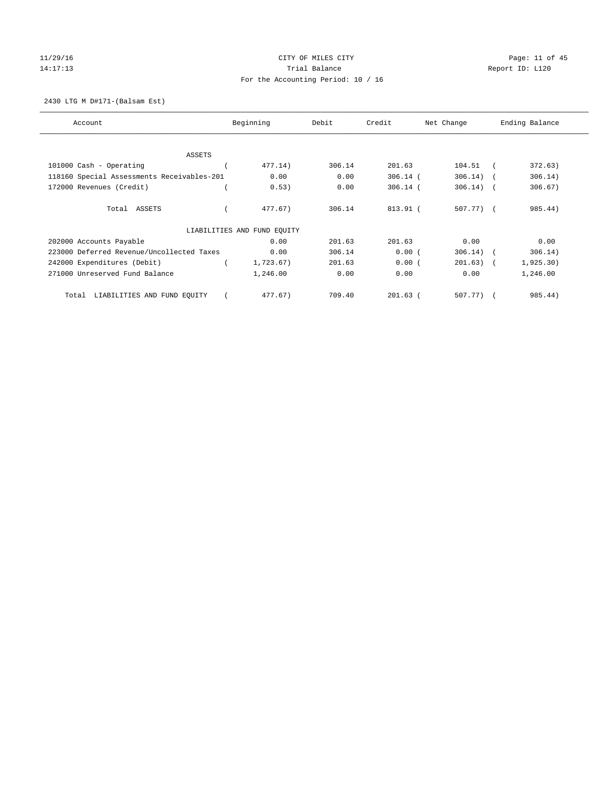# 11/29/16 Page: 11 of 45 14:17:13 **Trial Balance Trial Balance Report ID:** L120 For the Accounting Period: 10 / 16

2430 LTG M D#171-(Balsam Est)

| Account                                    | Beginning                   | Debit  | Credit     | Net Change  | Ending Balance        |
|--------------------------------------------|-----------------------------|--------|------------|-------------|-----------------------|
| ASSETS                                     |                             |        |            |             |                       |
| 101000 Cash - Operating                    | 477.14)                     | 306.14 | 201.63     | 104.51      | 372.63)               |
| 118160 Special Assessments Receivables-201 | 0.00                        | 0.00   | $306.14$ ( | 306.14)     | 306.14)<br>$\sqrt{2}$ |
| 172000 Revenues (Credit)                   | 0.53)                       | 0.00   | $306.14$ ( | 306.14)     | 306.67)<br>$\sqrt{2}$ |
| Total ASSETS                               | 477.67)                     | 306.14 | 813.91 (   | 507.77) (   | 985.44)               |
|                                            | LIABILITIES AND FUND EQUITY |        |            |             |                       |
| 202000 Accounts Payable                    | 0.00                        | 201.63 | 201.63     | 0.00        | 0.00                  |
| 223000 Deferred Revenue/Uncollected Taxes  | 0.00                        | 306.14 | 0.00(      | $306.14)$ ( | 306.14)               |
| 242000 Expenditures (Debit)                | 1,723.67)                   | 201.63 | 0.00(      | $201.63)$ ( | 1,925.30)             |
| 271000 Unreserved Fund Balance             | 1,246.00                    | 0.00   | 0.00       | 0.00        | 1,246.00              |
| LIABILITIES AND FUND EQUITY<br>Total       | 477.67)                     | 709.40 | $201.63$ ( | 507.77)     | 985.44)               |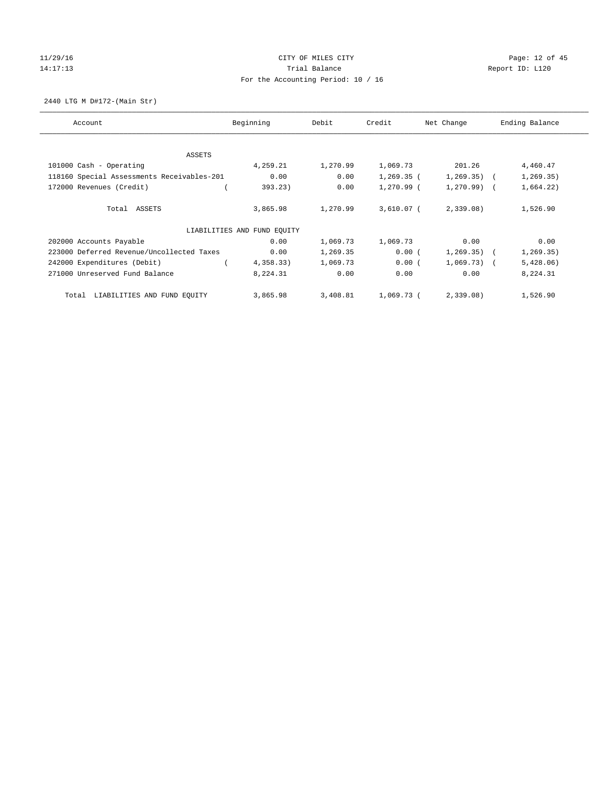# 11/29/16 Page: 12 of 45 14:17:13 Channel Balance Trial Balance Report ID: L120 For the Accounting Period: 10 / 16

2440 LTG M D#172-(Main Str)

| Account                                    | Beginning                   | Debit    | Credit       | Net Change    | Ending Balance |
|--------------------------------------------|-----------------------------|----------|--------------|---------------|----------------|
| ASSETS                                     |                             |          |              |               |                |
| 101000 Cash - Operating                    | 4,259.21                    | 1,270.99 | 1,069.73     | 201.26        | 4,460.47       |
| 118160 Special Assessments Receivables-201 | 0.00                        | 0.00     | $1,269.35$ ( | $1, 269.35$ ( | 1, 269.35)     |
| 172000 Revenues (Credit)                   | 393.23)                     | 0.00     | $1,270.99$ ( | $1,270.99$ (  | 1,664.22)      |
| Total ASSETS                               | 3,865.98                    | 1,270.99 | 3,610.07 (   | 2,339.08      | 1,526.90       |
|                                            | LIABILITIES AND FUND EQUITY |          |              |               |                |
| 202000 Accounts Payable                    | 0.00                        | 1,069.73 | 1,069.73     | 0.00          | 0.00           |
| 223000 Deferred Revenue/Uncollected Taxes  | 0.00                        | 1,269.35 | 0.00(        | $1,269.35$ (  | 1, 269.35)     |
| 242000 Expenditures (Debit)                | 4,358.33)                   | 1,069.73 | 0.00(        | $1,069.73$ (  | 5,428.06)      |
| 271000 Unreserved Fund Balance             | 8,224.31                    | 0.00     | 0.00         | 0.00          | 8,224.31       |
| LIABILITIES AND FUND EQUITY<br>Total       | 3,865.98                    | 3,408.81 | 1,069.73 (   | 2,339.08      | 1,526.90       |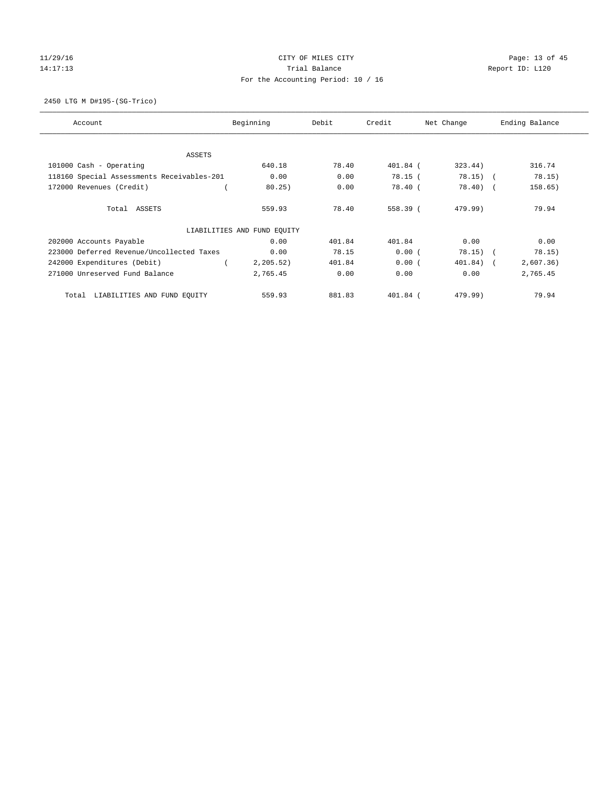# 11/29/16 Page: 13 of 45 14:17:13 **Trial Balance Trial Balance Report ID:** L120 For the Accounting Period: 10 / 16

2450 LTG M D#195-(SG-Trico)

| Account                                    | Beginning                   | Debit  | Credit     | Net Change | Ending Balance |
|--------------------------------------------|-----------------------------|--------|------------|------------|----------------|
| ASSETS                                     |                             |        |            |            |                |
| 101000 Cash - Operating                    | 640.18                      | 78.40  | $401.84$ ( | 323.44)    | 316.74         |
| 118160 Special Assessments Receivables-201 | 0.00                        | 0.00   | 78.15(     | $78.15)$ ( | 78.15)         |
| 172000 Revenues (Credit)                   | 80.25)                      | 0.00   | 78.40(     | $78.40$ (  | 158.65)        |
| Total ASSETS                               | 559.93                      | 78.40  | 558.39 (   | 479.99)    | 79.94          |
|                                            | LIABILITIES AND FUND EQUITY |        |            |            |                |
| 202000 Accounts Payable                    | 0.00                        | 401.84 | 401.84     | 0.00       | 0.00           |
| 223000 Deferred Revenue/Uncollected Taxes  | 0.00                        | 78.15  | 0.00(      | $78.15)$ ( | 78.15)         |
| 242000 Expenditures (Debit)                | 2, 205.52)                  | 401.84 | 0.00(      | 401.84) (  | 2,607.36)      |
| 271000 Unreserved Fund Balance             | 2,765.45                    | 0.00   | 0.00       | 0.00       | 2,765.45       |
| LIABILITIES AND FUND EQUITY<br>Total       | 559.93                      | 881.83 | $401.84$ ( | 479.99)    | 79.94          |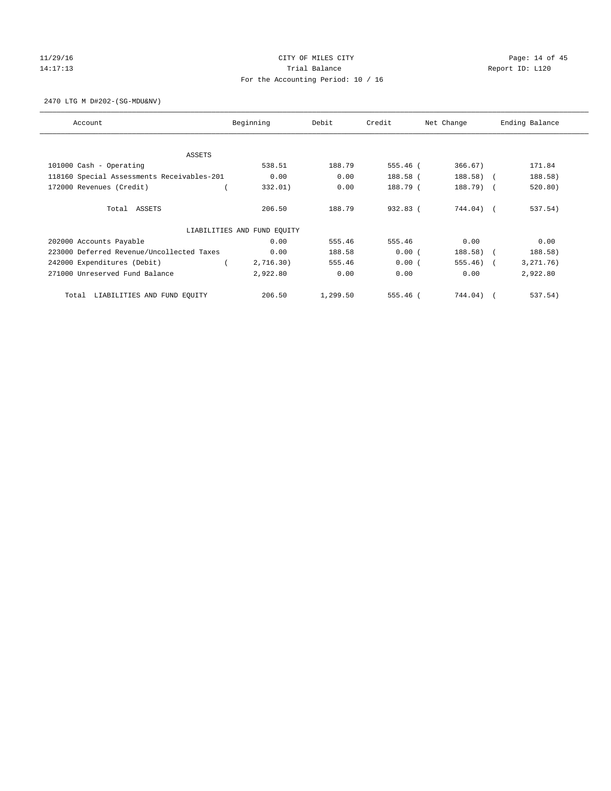# 11/29/16 Page: 14 of 45 14:17:13 **Trial Balance Trial Balance Report ID:** L120 For the Accounting Period: 10 / 16

2470 LTG M D#202-(SG-MDU&NV)

| Account                                    | Beginning                   | Debit    | Credit     | Net Change   | Ending Balance |
|--------------------------------------------|-----------------------------|----------|------------|--------------|----------------|
| ASSETS                                     |                             |          |            |              |                |
| 101000 Cash - Operating                    | 538.51                      | 188.79   | 555.46 (   | 366.67)      | 171.84         |
| 118160 Special Assessments Receivables-201 | 0.00                        | 0.00     | 188.58 (   | 188.58) (    | 188.58)        |
| 172000 Revenues (Credit)                   | 332.01)                     | 0.00     | 188.79 (   | $188.79$ (   | 520.80)        |
| Total ASSETS                               | 206.50                      | 188.79   | $932.83$ ( | 744.04) (    | 537.54)        |
|                                            | LIABILITIES AND FUND EQUITY |          |            |              |                |
| 202000 Accounts Payable                    | 0.00                        | 555.46   | 555.46     | 0.00         | 0.00           |
| 223000 Deferred Revenue/Uncollected Taxes  | 0.00                        | 188.58   | 0.00(      | $188.58)$ (  | 188.58)        |
| 242000 Expenditures (Debit)                | 2,716.30)                   | 555.46   | 0.00(      | $555.46$ ) ( | 3, 271.76)     |
| 271000 Unreserved Fund Balance             | 2,922.80                    | 0.00     | 0.00       | 0.00         | 2,922.80       |
| LIABILITIES AND FUND EQUITY<br>Total       | 206.50                      | 1,299.50 | $555.46$ ( | 744.04) (    | 537.54)        |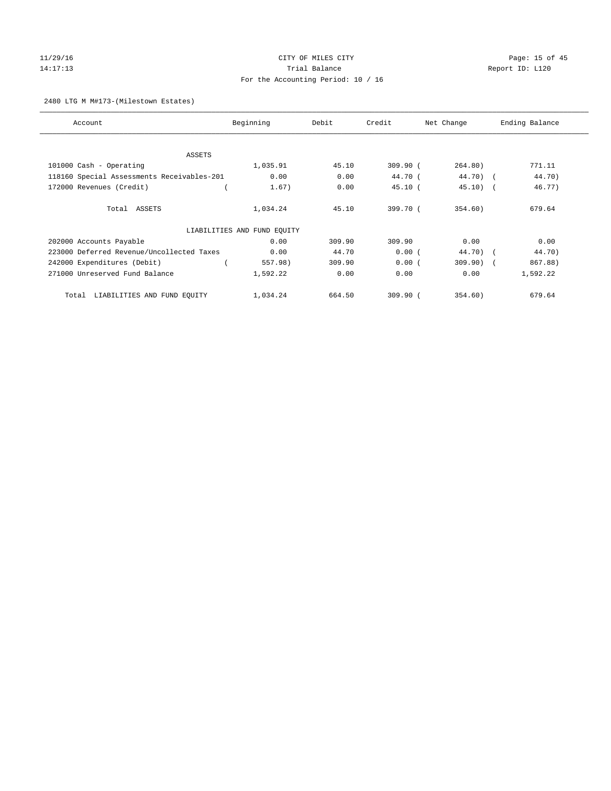# 11/29/16 Page: 15 of 45 14:17:13 **Trial Balance Trial Balance Report ID:** L120 For the Accounting Period: 10 / 16

#### 2480 LTG M M#173-(Milestown Estates)

| Account                                    | Beginning                   | Debit  | Credit   | Net Change  | Ending Balance |
|--------------------------------------------|-----------------------------|--------|----------|-------------|----------------|
|                                            |                             |        |          |             |                |
| ASSETS<br>101000 Cash - Operating          | 1,035.91                    | 45.10  | 309.90(  | 264.80)     | 771.11         |
| 118160 Special Assessments Receivables-201 | 0.00                        | 0.00   | 44.70 (  | 44.70) (    | 44.70)         |
|                                            |                             |        |          |             |                |
| 172000 Revenues (Credit)                   | 1.67)                       | 0.00   | 45.10(   | $45.10)$ (  | 46.77)         |
| Total ASSETS                               | 1,034.24                    | 45.10  | 399.70 ( | 354.60)     | 679.64         |
|                                            | LIABILITIES AND FUND EQUITY |        |          |             |                |
| 202000 Accounts Payable                    | 0.00                        | 309.90 | 309.90   | 0.00        | 0.00           |
| 223000 Deferred Revenue/Uncollected Taxes  | 0.00                        | 44.70  | 0.00(    | 44.70) (    | 44.70)         |
| 242000 Expenditures (Debit)                | 557.98)                     | 309.90 | 0.00(    | $309.90)$ ( | 867.88)        |
| 271000 Unreserved Fund Balance             | 1,592.22                    | 0.00   | 0.00     | 0.00        | 1,592.22       |
| LIABILITIES AND FUND EQUITY<br>Total       | 1,034.24                    | 664.50 | 309.90(  | 354.60)     | 679.64         |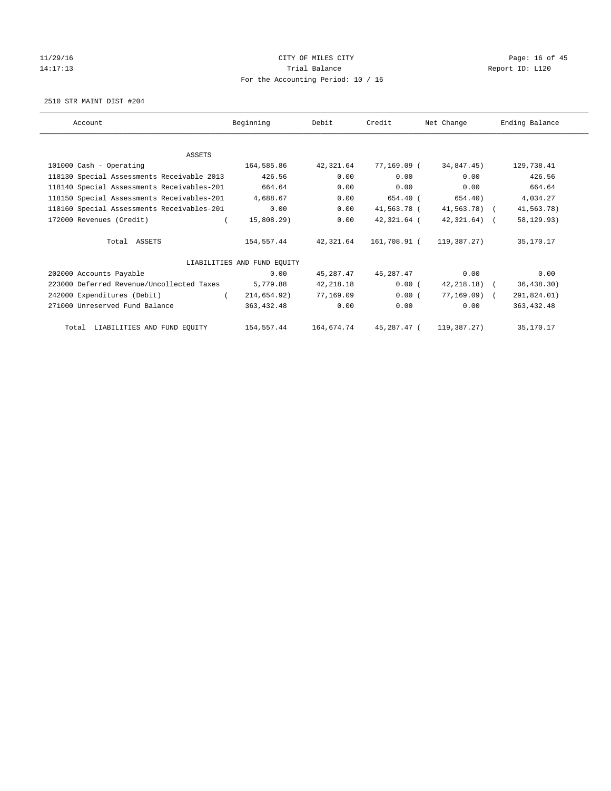# 11/29/16 Page: 16 of 45 14:17:13 **Trial Balance Trial Balance Report ID:** L120 For the Accounting Period: 10 / 16

2510 STR MAINT DIST #204

| Account                                             | Beginning                   | Debit      | Credit       | Net Change   | Ending Balance |
|-----------------------------------------------------|-----------------------------|------------|--------------|--------------|----------------|
|                                                     |                             |            |              |              |                |
| <b>ASSETS</b>                                       |                             |            |              |              |                |
| 101000 Cash - Operating                             | 164,585.86                  | 42,321.64  | 77,169.09 (  | 34,847.45)   | 129,738.41     |
| 118130 Special Assessments Receivable 2013          | 426.56                      | 0.00       | 0.00         | 0.00         | 426.56         |
| 118140 Special Assessments Receivables-201          | 664.64                      | 0.00       | 0.00         | 0.00         | 664.64         |
| 118150 Special Assessments Receivables-201 4,688.67 |                             | 0.00       | 654.40 (     | 654.40)      | 4,034.27       |
| 118160 Special Assessments Receivables-201          | 0.00                        | 0.00       | 41,563.78 (  | 41,563.78) ( | 41,563.78)     |
| 172000 Revenues (Credit)                            | 15,808.29)                  | 0.00       | 42,321.64 (  | 42,321.64) ( | 58, 129. 93)   |
| Total ASSETS                                        | 154,557.44                  | 42,321.64  | 161,708.91 ( | 119,387.27)  | 35,170.17      |
|                                                     | LIABILITIES AND FUND EQUITY |            |              |              |                |
| 202000 Accounts Payable                             | 0.00                        | 45,287.47  | 45,287.47    | 0.00         | 0.00           |
| 223000 Deferred Revenue/Uncollected Taxes           | 5,779.88                    | 42,218.18  | 0.00(        | 42,218.18) ( | 36, 438.30)    |
| 242000 Expenditures (Debit)                         | 214,654.92)                 | 77,169.09  | 0.00(        | 77,169.09) ( | 291,824.01)    |
| 271000 Unreserved Fund Balance                      | 363,432.48                  | 0.00       | 0.00         | 0.00         | 363, 432.48    |
| Total LIABILITIES AND FUND EQUITY                   | 154,557.44                  | 164,674.74 | 45,287.47 (  | 119,387.27)  | 35,170.17      |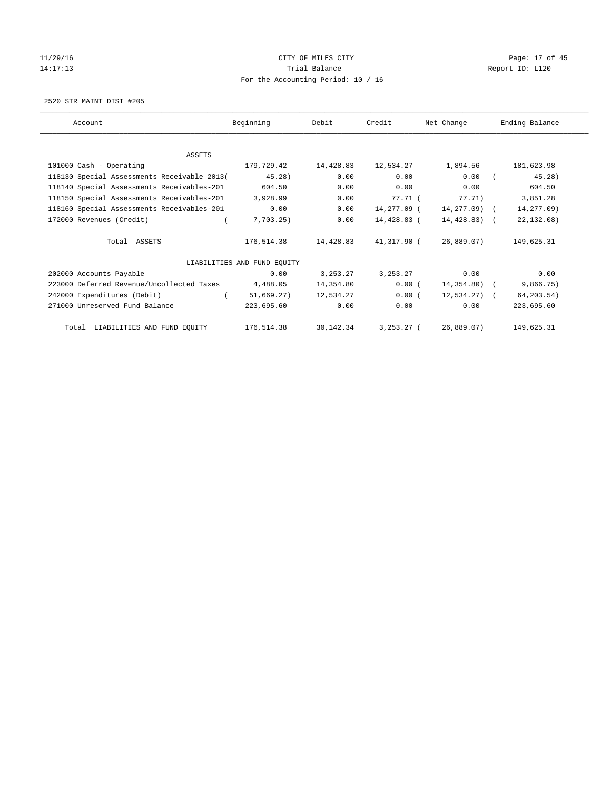# 11/29/16 Page: 17 of 45 14:17:13 **Trial Balance Trial Balance Report ID:** L120 For the Accounting Period: 10 / 16

2520 STR MAINT DIST #205

| Account                                             | Beginning                   | Debit      | Credit       | Net Change    | Ending Balance |
|-----------------------------------------------------|-----------------------------|------------|--------------|---------------|----------------|
|                                                     |                             |            |              |               |                |
| ASSETS                                              |                             |            |              |               |                |
| 101000 Cash - Operating                             | 179,729.42                  | 14,428.83  | 12,534.27    | 1,894.56      | 181,623.98     |
| 118130 Special Assessments Receivable 2013(         | 45.28)                      | 0.00       | 0.00         | 0.00          | 45.28)         |
| 118140 Special Assessments Receivables-201          | 604.50                      | 0.00       | 0.00         | 0.00          | 604.50         |
| 118150 Special Assessments Receivables-201 3,928.99 |                             | 0.00       | 77.71 (      | 77.71)        | 3,851.28       |
| 118160 Special Assessments Receivables-201          | 0.00                        | 0.00       | 14,277.09 (  | 14,277.09) (  | 14,277.09)     |
| 172000 Revenues (Credit)                            | 7,703.25)                   | 0.00       | 14,428.83 (  | 14,428.83) (  | 22, 132.08)    |
| Total ASSETS                                        | 176,514.38                  | 14,428.83  | 41,317.90 (  | 26,889.07)    | 149,625.31     |
|                                                     | LIABILITIES AND FUND EOUITY |            |              |               |                |
| 202000 Accounts Payable                             | 0.00                        | 3, 253. 27 | 3, 253. 27   | 0.00          | 0.00           |
| 223000 Deferred Revenue/Uncollected Taxes           | 4,488.05                    | 14,354.80  | 0.00(        | 14,354.80) (  | 9,866.75)      |
| 242000 Expenditures (Debit)                         | 51,669.27)                  | 12,534.27  | 0.00(        | $12,534.27$ ( | 64,203.54)     |
| 271000 Unreserved Fund Balance                      | 223,695.60                  | 0.00       | 0.00         | 0.00          | 223,695.60     |
| Total LIABILITIES AND FUND EQUITY                   | 176,514.38                  | 30,142.34  | $3,253.27$ ( | 26,889.07)    | 149,625.31     |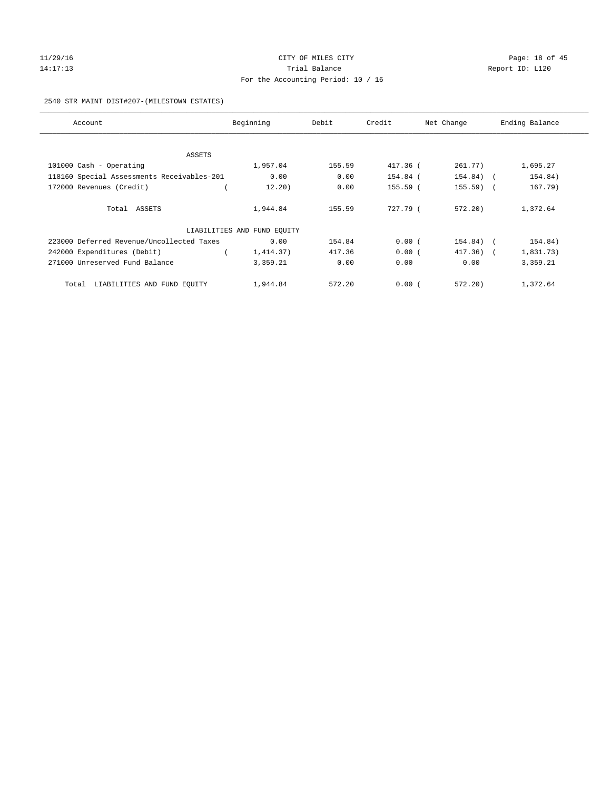## $11/29/16$  Page: 18 of 45 14:17:13 **Trial Balance Trial Balance Report ID:** L120 For the Accounting Period: 10 / 16

#### 2540 STR MAINT DIST#207-(MILESTOWN ESTATES)

| Account                                    | Beginning                   | Debit  | Credit   | Net Change   | Ending Balance |
|--------------------------------------------|-----------------------------|--------|----------|--------------|----------------|
|                                            |                             |        |          |              |                |
| ASSETS                                     |                             |        |          |              |                |
| 101000 Cash - Operating                    | 1,957.04                    | 155.59 | 417.36 ( | 261.77)      | 1,695.27       |
| 118160 Special Assessments Receivables-201 | 0.00                        | 0.00   | 154.84 ( | $154.84)$ (  | 154.84)        |
| 172000 Revenues (Credit)                   | 12.20)                      | 0.00   | 155.59 ( | $155.59$ (   | 167.79)        |
| Total ASSETS                               | 1,944.84                    | 155.59 | 727.79 ( | 572.20       | 1,372.64       |
|                                            | LIABILITIES AND FUND EQUITY |        |          |              |                |
| 223000 Deferred Revenue/Uncollected Taxes  | 0.00                        | 154.84 | 0.00(    | 154.84) (    | 154.84)        |
| 242000 Expenditures (Debit)                | 1,414.37)                   | 417.36 | 0.00(    | $417.36$ ) ( | 1,831.73)      |
| 271000 Unreserved Fund Balance             | 3,359.21                    | 0.00   | 0.00     | 0.00         | 3,359.21       |
| Total LIABILITIES AND FUND EQUITY          | 1,944.84                    | 572.20 | 0.00(    | 572.20       | 1,372.64       |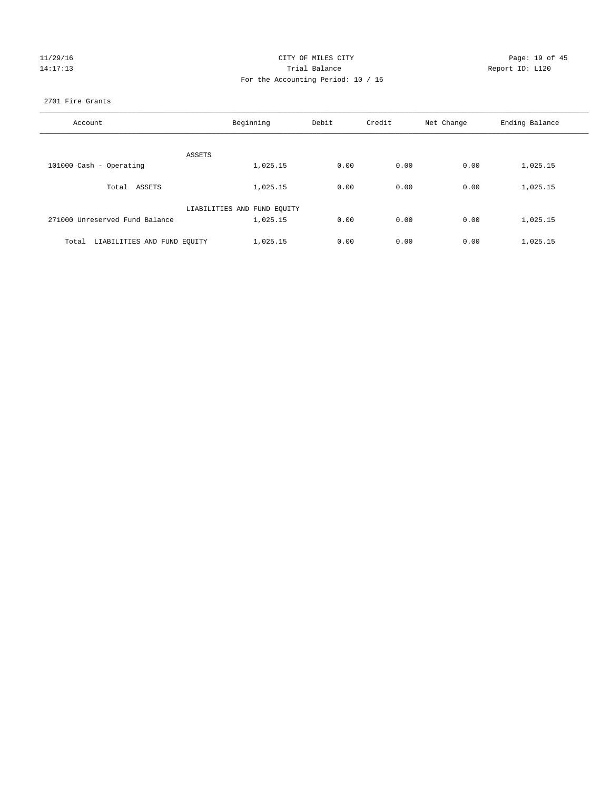## 11/29/16 Page: 19 of 45 14:17:13 **Trial Balance Trial Balance Report ID:** L120 For the Accounting Period: 10 / 16

#### 2701 Fire Grants

| Account                              | Beginning                   | Debit | Credit | Net Change | Ending Balance |
|--------------------------------------|-----------------------------|-------|--------|------------|----------------|
| ASSETS                               |                             |       |        |            |                |
| 101000 Cash - Operating              | 1,025.15                    | 0.00  | 0.00   | 0.00       | 1,025.15       |
| Total ASSETS                         | 1,025.15                    | 0.00  | 0.00   | 0.00       | 1,025.15       |
|                                      | LIABILITIES AND FUND EQUITY |       |        |            |                |
| 271000 Unreserved Fund Balance       | 1,025.15                    | 0.00  | 0.00   | 0.00       | 1,025.15       |
| LIABILITIES AND FUND EQUITY<br>Total | 1,025.15                    | 0.00  | 0.00   | 0.00       | 1,025.15       |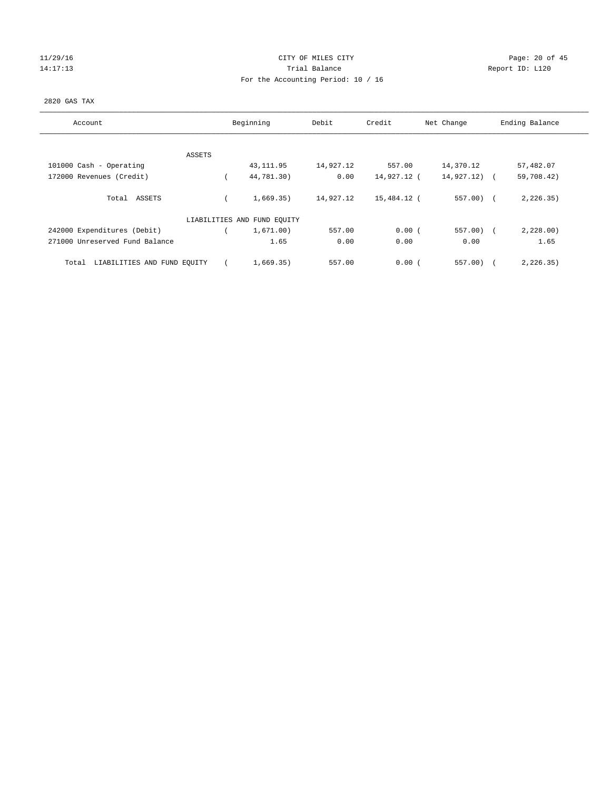# 11/29/16 Page: 20 of 45 14:17:13 **Trial Balance Trial Balance Report ID:** L120 For the Accounting Period: 10 / 16

#### 2820 GAS TAX

| Account                              |        | Beginning                   | Debit     | Credit      | Net Change  | Ending Balance           |
|--------------------------------------|--------|-----------------------------|-----------|-------------|-------------|--------------------------|
|                                      |        |                             |           |             |             |                          |
|                                      | ASSETS |                             |           |             |             |                          |
| 101000 Cash - Operating              |        | 43, 111.95                  | 14,927.12 | 557.00      | 14,370.12   | 57,482.07                |
| 172000 Revenues (Credit)             |        | 44,781.30)                  | 0.00      | 14,927.12 ( | 14,927.12)  | 59,708.42)<br>$\sqrt{2}$ |
| Total ASSETS                         |        | 1,669.35)                   | 14,927.12 | 15,484.12 ( | $557.00$ (  | 2, 226.35)               |
|                                      |        | LIABILITIES AND FUND EQUITY |           |             |             |                          |
| 242000 Expenditures (Debit)          |        | 1,671.00)                   | 557.00    | 0.00(       | $557.00)$ ( | 2,228.00                 |
| 271000 Unreserved Fund Balance       |        | 1.65                        | 0.00      | 0.00        | 0.00        | 1.65                     |
| LIABILITIES AND FUND EQUITY<br>Total |        | 1,669.35)                   | 557.00    | 0.00(       | 557.00      | 2, 226.35)               |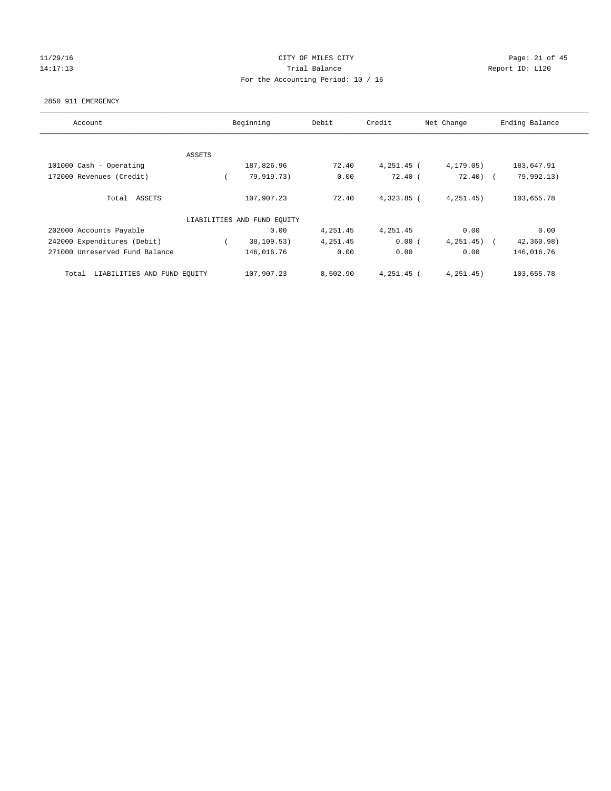#### 11/29/16 Page: 21 of 45 14:17:13 **Trial Balance Trial Balance Report ID:** L120 For the Accounting Period: 10 / 16

#### 2850 911 EMERGENCY

| Account                              | Beginning |                             | Debit<br>Credit |              | Net Change | Ending Balance |
|--------------------------------------|-----------|-----------------------------|-----------------|--------------|------------|----------------|
|                                      |           |                             |                 |              |            |                |
| ASSETS                               |           |                             |                 |              |            |                |
| 101000 Cash - Operating              |           | 187,826.96                  | 72.40           | 4,251.45 (   | 4,179.05)  | 183,647.91     |
| 172000 Revenues (Credit)             |           | 79,919.73)                  | 0.00            | $72.40$ (    | $72.40$ (  | 79,992.13)     |
| Total ASSETS                         |           | 107,907.23                  | 72.40           | $4,323.85$ ( | 4, 251.45) | 103,655.78     |
|                                      |           | LIABILITIES AND FUND EQUITY |                 |              |            |                |
| 202000 Accounts Payable              |           | 0.00                        | 4,251.45        | 4,251.45     | 0.00       | 0.00           |
| 242000 Expenditures (Debit)          |           | 38,109.53)                  | 4,251.45        | 0.00(        | 4, 251.45) | 42,360.98)     |
| 271000 Unreserved Fund Balance       |           | 146,016.76                  | 0.00            | 0.00         | 0.00       | 146,016.76     |
| LIABILITIES AND FUND EQUITY<br>Total |           | 107,907.23                  | 8,502.90        | $4,251.45$ ( | 4, 251.45) | 103,655.78     |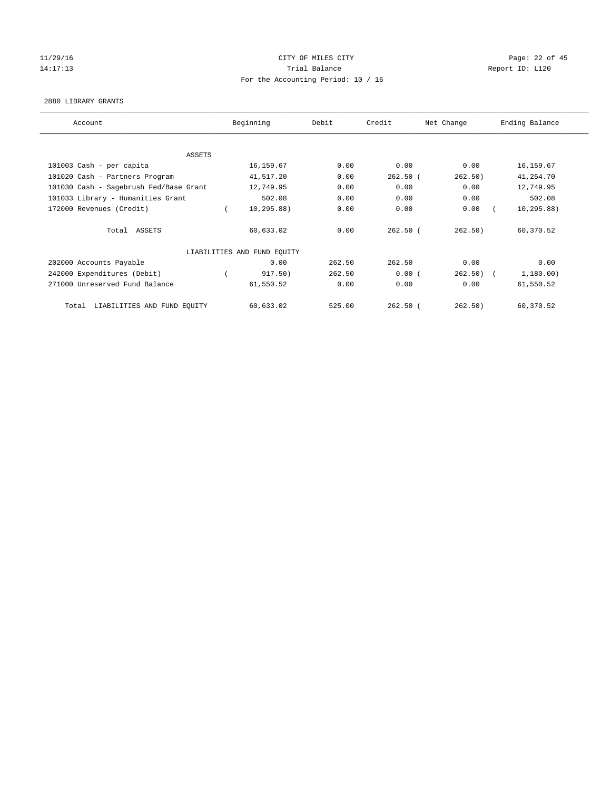# 11/29/16 Page: 22 of 45 14:17:13 **Trial Balance Report ID:** L120 For the Accounting Period: 10 / 16

#### 2880 LIBRARY GRANTS

| Account                                | Beginning |                             | Debit  | Credit     | Net Change | Ending Balance |  |
|----------------------------------------|-----------|-----------------------------|--------|------------|------------|----------------|--|
|                                        |           |                             |        |            |            |                |  |
| ASSETS                                 |           |                             |        |            |            |                |  |
| 101003 Cash - per capita               |           | 16,159.67                   | 0.00   | 0.00       | 0.00       | 16, 159.67     |  |
| 101020 Cash - Partners Program         |           | 41,517.20                   | 0.00   | $262.50$ ( | 262.50)    | 41,254.70      |  |
| 101030 Cash - Sagebrush Fed/Base Grant |           | 12,749.95                   | 0.00   | 0.00       | 0.00       | 12,749.95      |  |
| 101033 Library - Humanities Grant      |           | 502.08                      | 0.00   | 0.00       | 0.00       | 502.08         |  |
| 172000 Revenues (Credit)               |           | 10, 295.88)                 | 0.00   | 0.00       | 0.00       | 10, 295.88)    |  |
| Total ASSETS                           |           | 60,633.02                   | 0.00   | $262.50$ ( | 262.50)    | 60,370.52      |  |
|                                        |           | LIABILITIES AND FUND EQUITY |        |            |            |                |  |
| 202000 Accounts Payable                |           | 0.00                        | 262.50 | 262.50     | 0.00       | 0.00           |  |
| 242000 Expenditures (Debit)            |           | 917.50)                     | 262.50 | 0.00(      | $262.50$ ( | 1,180.00)      |  |
| 271000 Unreserved Fund Balance         |           | 61,550.52                   | 0.00   | 0.00       | 0.00       | 61,550.52      |  |
| Total LIABILITIES AND FUND EQUITY      |           | 60,633.02                   | 525.00 | $262.50$ ( | 262.50)    | 60,370.52      |  |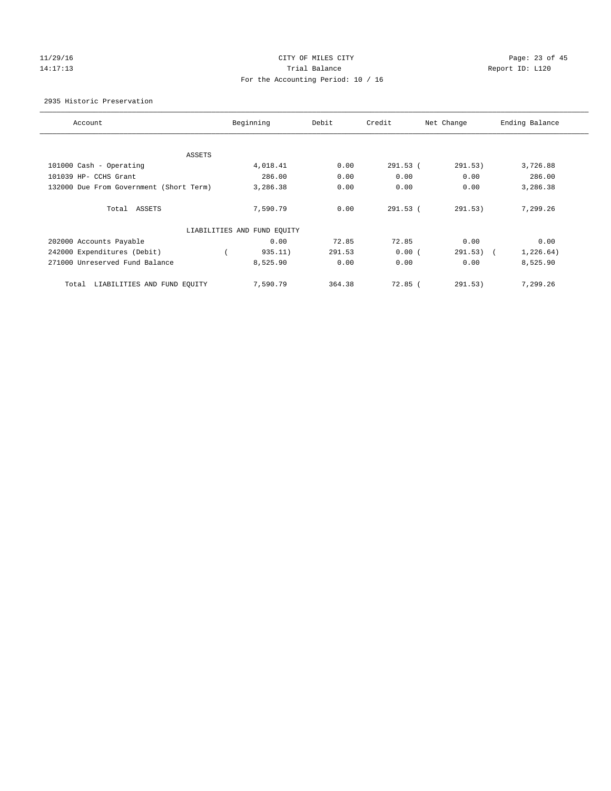## $11/29/16$  Page: 23 of 45 14:17:13 **Trial Balance Trial Balance Report ID:** L120 For the Accounting Period: 10 / 16

2935 Historic Preservation

| Account                                 | Beginning                   | Debit  | Credit     | Net Change            | Ending Balance |
|-----------------------------------------|-----------------------------|--------|------------|-----------------------|----------------|
|                                         |                             |        |            |                       |                |
| ASSETS                                  |                             |        |            |                       |                |
| 101000 Cash - Operating                 | 4,018.41                    | 0.00   | $291.53$ ( | 291.53)               | 3,726.88       |
| 101039 HP- CCHS Grant                   | 286.00                      | 0.00   | 0.00       | 0.00                  | 286.00         |
| 132000 Due From Government (Short Term) | 3,286.38                    | 0.00   | 0.00       | 0.00                  | 3,286.38       |
| Total ASSETS                            | 7,590.79                    | 0.00   | $291.53$ ( | 291.53)               | 7,299.26       |
|                                         | LIABILITIES AND FUND EQUITY |        |            |                       |                |
| 202000 Accounts Payable                 | 0.00                        | 72.85  | 72.85      | 0.00                  | 0.00           |
| 242000 Expenditures (Debit)             | 935.11)                     | 291.53 | 0.00(      | 291.53)<br>$\sqrt{2}$ | 1,226.64)      |
| 271000 Unreserved Fund Balance          | 8,525.90                    | 0.00   | 0.00       | 0.00                  | 8,525.90       |
| LIABILITIES AND FUND EQUITY<br>Total    | 7,590.79                    | 364.38 | $72.85$ (  | 291.53)               | 7,299.26       |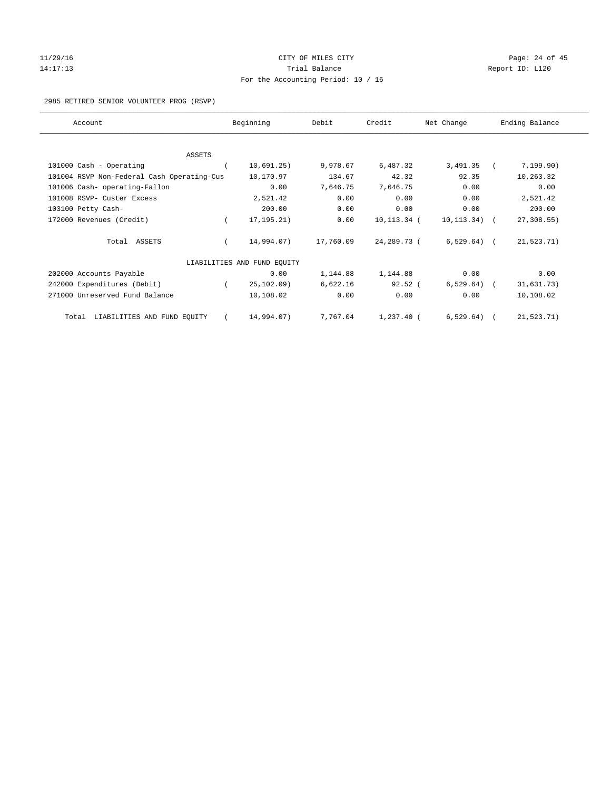## 11/29/16 Page: 24 of 45 14:17:13 **Trial Balance Report ID:** L120 For the Accounting Period: 10 / 16

#### 2985 RETIRED SENIOR VOLUNTEER PROG (RSVP)

| Account                                    |          | Beginning                   | Debit     | Credit      | Net Change   | Ending Balance |
|--------------------------------------------|----------|-----------------------------|-----------|-------------|--------------|----------------|
|                                            |          |                             |           |             |              |                |
| <b>ASSETS</b>                              |          |                             |           |             |              |                |
| 101000 Cash - Operating                    |          | 10,691.25)                  | 9,978.67  | 6,487.32    | 3,491.35     | 7,199.90)      |
| 101004 RSVP Non-Federal Cash Operating-Cus |          | 10,170.97                   | 134.67    | 42.32       | 92.35        | 10,263.32      |
| 101006 Cash- operating-Fallon              |          | 0.00                        | 7,646.75  | 7,646.75    | 0.00         | 0.00           |
| 101008 RSVP- Custer Excess                 |          | 2,521.42                    | 0.00      | 0.00        | 0.00         | 2,521.42       |
| 103100 Petty Cash-                         |          | 200.00                      | 0.00      | 0.00        | 0.00         | 200.00         |
| 172000 Revenues (Credit)                   |          | 17, 195. 21)                | 0.00      | 10,113.34 ( | 10,113.34) ( | 27, 308.55     |
| Total ASSETS                               |          | 14,994.07)                  | 17,760.09 | 24,289.73 ( | $6,529.64$ ( | 21,523.71)     |
|                                            |          | LIABILITIES AND FUND EQUITY |           |             |              |                |
| 202000 Accounts Payable                    |          | 0.00                        | 1,144.88  | 1,144.88    | 0.00         | 0.00           |
| 242000 Expenditures (Debit)                | $\left($ | 25, 102, 09)                | 6,622.16  | 92.52 (     | $6,529.64$ ( | 31,631.73)     |
| 271000 Unreserved Fund Balance             |          | 10,108.02                   | 0.00      | 0.00        | 0.00         | 10,108.02      |
| Total LIABILITIES AND FUND EQUITY          |          | 14,994.07)                  | 7,767.04  | 1,237.40 (  | $6,529.64$ ( | 21,523.71)     |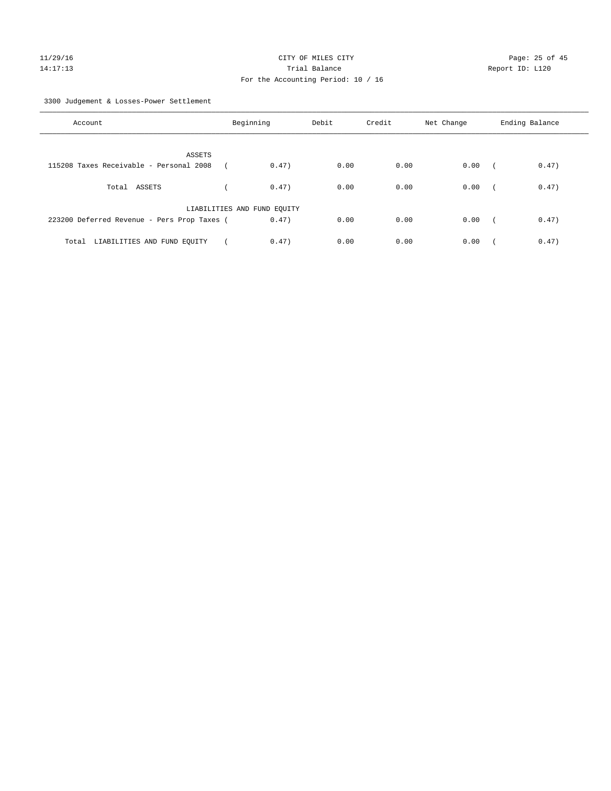# 11/29/16 Page: 25 of 45 14:17:13 Trial Balance Report ID: L120 For the Accounting Period: 10 / 16

3300 Judgement & Losses-Power Settlement

| Account                                     | Beginning                   |       | Debit | Credit | Net Change | Ending Balance      |  |
|---------------------------------------------|-----------------------------|-------|-------|--------|------------|---------------------|--|
| ASSETS                                      |                             |       |       |        |            |                     |  |
| 115208 Taxes Receivable - Personal 2008     |                             | 0.47) | 0.00  | 0.00   | 0.00       | 0.47)<br>$\sqrt{2}$ |  |
| Total ASSETS                                |                             | 0.47) | 0.00  | 0.00   | 0.00       | 0.47)<br>$\sim$     |  |
|                                             | LIABILITIES AND FUND EQUITY |       |       |        |            |                     |  |
| 223200 Deferred Revenue - Pers Prop Taxes ( |                             | 0.47) | 0.00  | 0.00   | 0.00       | 0.47)<br>$\sqrt{2}$ |  |
| LIABILITIES AND FUND EQUITY<br>Total        |                             | 0.47) | 0.00  | 0.00   | 0.00       | 0.47)               |  |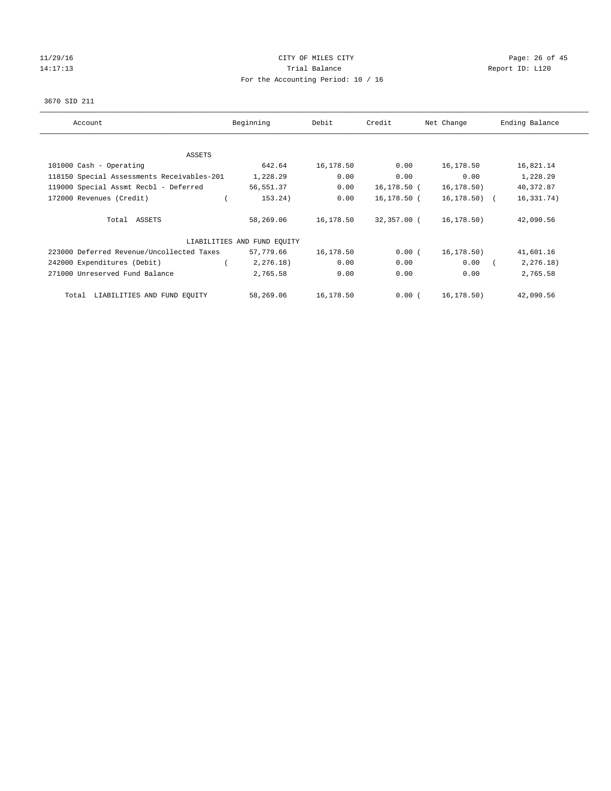## $11/29/16$  Page: 26 of 45 14:17:13 **Trial Balance Trial Balance Report ID:** L120 For the Accounting Period: 10 / 16

#### 3670 SID 211

| Account                                    | Beginning                   | Debit     | Credit      | Net Change   | Ending Balance |
|--------------------------------------------|-----------------------------|-----------|-------------|--------------|----------------|
| ASSETS                                     |                             |           |             |              |                |
| 101000 Cash - Operating                    | 642.64                      | 16,178.50 | 0.00        | 16,178.50    | 16,821.14      |
| 118150 Special Assessments Receivables-201 | 1,228.29                    | 0.00      | 0.00        | 0.00         | 1,228.29       |
| 119000 Special Assmt Recbl - Deferred      | 56,551.37                   | 0.00      | 16,178.50 ( | 16, 178.50)  | 40,372.87      |
| 172000 Revenues (Credit)                   | 153.24)                     | 0.00      | 16,178.50 ( | 16,178.50) ( | 16, 331. 74)   |
| Total ASSETS                               | 58,269.06                   | 16,178.50 | 32,357.00 ( | 16,178.50)   | 42,090.56      |
|                                            | LIABILITIES AND FUND EOUITY |           |             |              |                |
| 223000 Deferred Revenue/Uncollected Taxes  | 57,779.66                   | 16,178.50 | 0.00(       | 16, 178.50)  | 41,601.16      |
| 242000 Expenditures (Debit)                | 2, 276.18)                  | 0.00      | 0.00        | 0.00         | 2, 276.18)     |
| 271000 Unreserved Fund Balance             | 2,765.58                    | 0.00      | 0.00        | 0.00         | 2,765.58       |
| LIABILITIES AND FUND EQUITY<br>Total       | 58,269.06                   | 16,178.50 | 0.00(       | 16,178.50)   | 42,090.56      |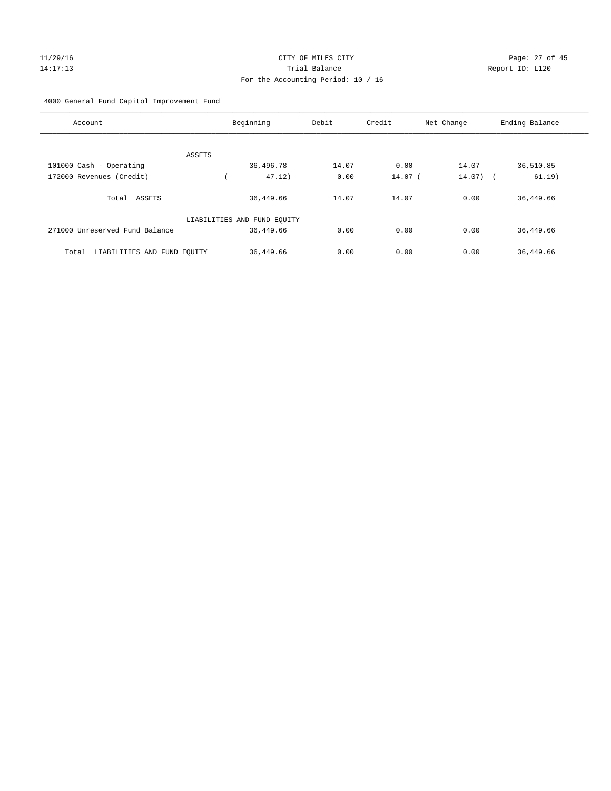## 11/29/16 Page: 27 of 45 14:17:13 Trial Balance Report ID: L120 For the Accounting Period: 10 / 16

#### 4000 General Fund Capitol Improvement Fund

| Account                              | Beginning                   | Debit | Credit  | Net Change | Ending Balance |
|--------------------------------------|-----------------------------|-------|---------|------------|----------------|
|                                      |                             |       |         |            |                |
| ASSETS                               | 36,496.78                   | 14.07 | 0.00    | 14.07      | 36,510.85      |
| 101000 Cash - Operating              |                             |       |         |            |                |
| 172000 Revenues (Credit)             | 47.12)                      | 0.00  | 14.07 ( | $14.07)$ ( | 61.19)         |
| Total ASSETS                         | 36,449.66                   | 14.07 | 14.07   | 0.00       | 36,449.66      |
|                                      | LIABILITIES AND FUND EQUITY |       |         |            |                |
| 271000 Unreserved Fund Balance       | 36,449.66                   | 0.00  | 0.00    | 0.00       | 36,449.66      |
| LIABILITIES AND FUND EQUITY<br>Total | 36,449.66                   | 0.00  | 0.00    | 0.00       | 36,449.66      |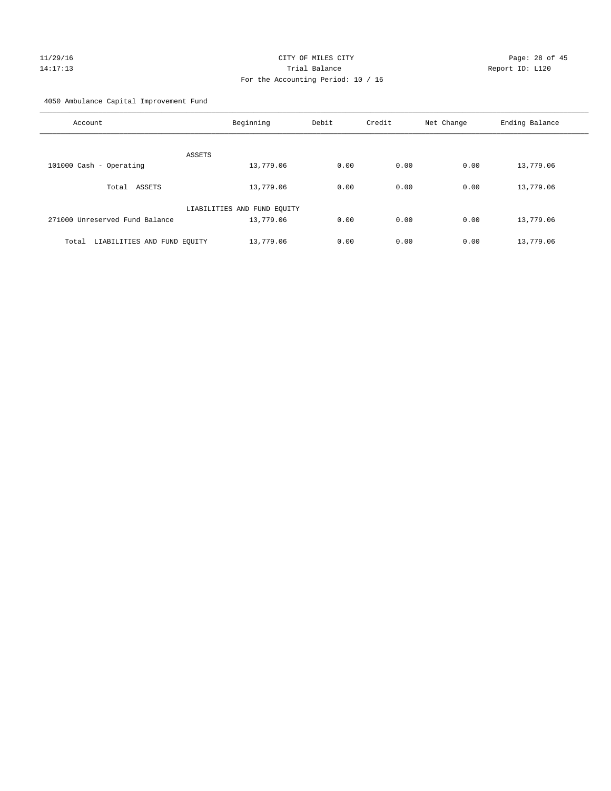## 11/29/16 Page: 28 of 45 14:17:13 Trial Balance Report ID: L120 For the Accounting Period: 10 / 16

4050 Ambulance Capital Improvement Fund

| Account                              | Beginning                   | Debit | Credit | Net Change | Ending Balance |
|--------------------------------------|-----------------------------|-------|--------|------------|----------------|
| ASSETS                               |                             |       |        |            |                |
| 101000 Cash - Operating              | 13,779.06                   | 0.00  | 0.00   | 0.00       | 13,779.06      |
| ASSETS<br>Total                      | 13,779.06                   | 0.00  | 0.00   | 0.00       | 13,779.06      |
|                                      | LIABILITIES AND FUND EQUITY |       |        |            |                |
| 271000 Unreserved Fund Balance       | 13,779.06                   | 0.00  | 0.00   | 0.00       | 13,779.06      |
| LIABILITIES AND FUND EQUITY<br>Total | 13,779.06                   | 0.00  | 0.00   | 0.00       | 13,779.06      |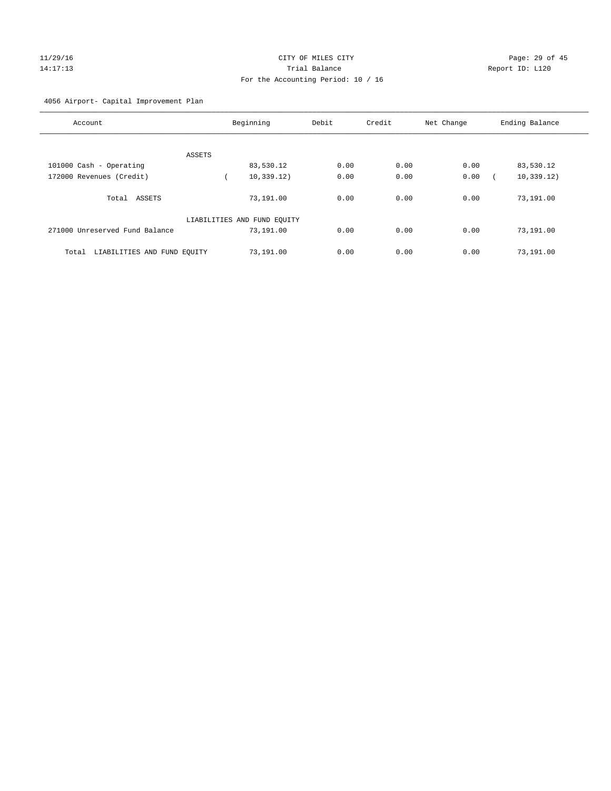# 11/29/16 Page: 29 of 45 14:17:13 Trial Balance Report ID: L120 For the Accounting Period: 10 / 16

#### 4056 Airport- Capital Improvement Plan

| Account                              | Beginning                   | Debit | Credit | Net Change | Ending Balance |
|--------------------------------------|-----------------------------|-------|--------|------------|----------------|
|                                      |                             |       |        |            |                |
| ASSETS                               |                             |       |        |            |                |
| 101000 Cash - Operating              | 83,530.12                   | 0.00  | 0.00   | 0.00       | 83,530.12      |
| 172000 Revenues (Credit)             | 10, 339.12)                 | 0.00  | 0.00   | 0.00       | 10, 339.12)    |
|                                      |                             |       |        |            |                |
| Total<br>ASSETS                      | 73,191.00                   | 0.00  | 0.00   | 0.00       | 73,191.00      |
|                                      | LIABILITIES AND FUND EQUITY |       |        |            |                |
| 271000 Unreserved Fund Balance       | 73,191.00                   | 0.00  | 0.00   | 0.00       | 73,191.00      |
| LIABILITIES AND FUND EQUITY<br>Total | 73,191.00                   | 0.00  | 0.00   | 0.00       | 73,191.00      |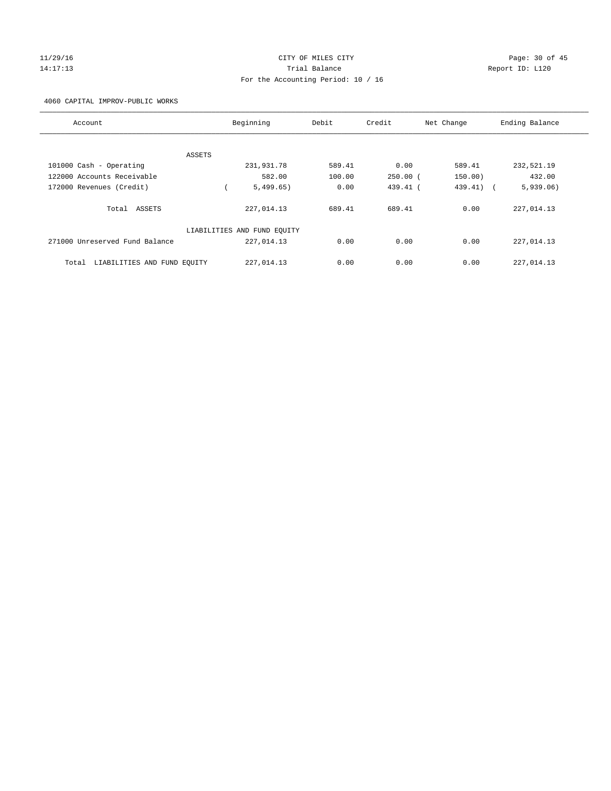#### 11/29/16 Page: 30 of 45 14:17:13 Trial Balance Report ID: L120 For the Accounting Period: 10 / 16

4060 CAPITAL IMPROV-PUBLIC WORKS

| Account                              | Beginning                   |            | Debit  | Credit     | Net Change | Ending Balance |
|--------------------------------------|-----------------------------|------------|--------|------------|------------|----------------|
|                                      |                             |            |        |            |            |                |
|                                      | ASSETS                      |            |        |            |            |                |
| 101000 Cash - Operating              |                             | 231,931.78 | 589.41 | 0.00       | 589.41     | 232,521.19     |
| 122000 Accounts Receivable           |                             | 582.00     | 100.00 | $250.00$ ( | 150.00)    | 432.00         |
| 172000 Revenues (Credit)             |                             | 5,499.65)  | 0.00   | $439.41$ ( | 439.41) (  | 5,939.06)      |
| Total ASSETS                         |                             | 227,014.13 | 689.41 | 689.41     | 0.00       | 227,014.13     |
|                                      | LIABILITIES AND FUND EQUITY |            |        |            |            |                |
| 271000 Unreserved Fund Balance       |                             | 227,014.13 | 0.00   | 0.00       | 0.00       | 227,014.13     |
| LIABILITIES AND FUND EQUITY<br>Total |                             | 227,014.13 | 0.00   | 0.00       | 0.00       | 227,014.13     |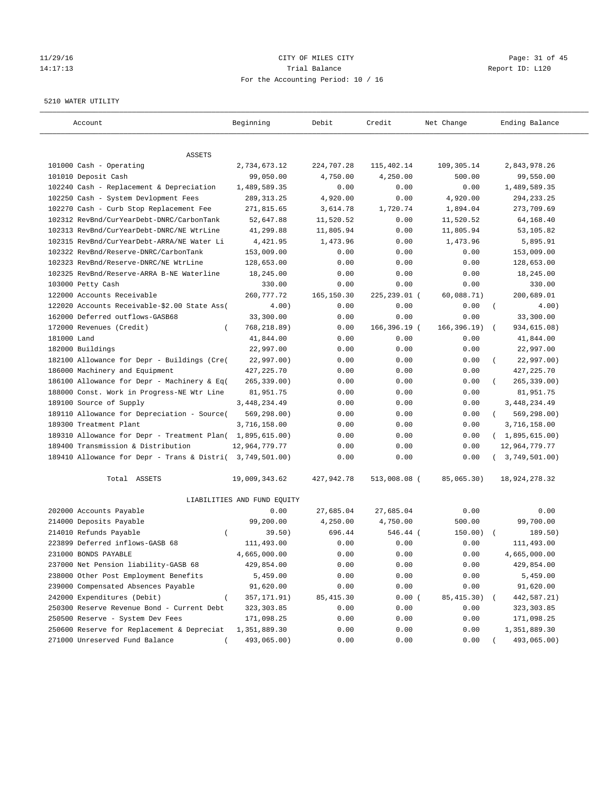#### 11/29/16 Page: 31 of 45 14:17:13 Trial Balance Report ID: L120 For the Accounting Period: 10 / 16

#### 5210 WATER UTILITY

| Account                                                   | Beginning                   | Debit      | Credit       | Net Change   | Ending Balance                 |
|-----------------------------------------------------------|-----------------------------|------------|--------------|--------------|--------------------------------|
| ASSETS                                                    |                             |            |              |              |                                |
| 101000 Cash - Operating                                   | 2,734,673.12                | 224,707.28 | 115,402.14   | 109,305.14   | 2,843,978.26                   |
| 101010 Deposit Cash                                       | 99,050.00                   | 4,750.00   | 4,250.00     | 500.00       | 99,550.00                      |
| 102240 Cash - Replacement & Depreciation                  | 1,489,589.35                | 0.00       | 0.00         | 0.00         | 1,489,589.35                   |
| 102250 Cash - System Devlopment Fees                      | 289, 313. 25                | 4,920.00   | 0.00         | 4,920.00     | 294, 233. 25                   |
| 102270 Cash - Curb Stop Replacement Fee                   | 271,815.65                  | 3,614.78   | 1,720.74     | 1,894.04     | 273,709.69                     |
| 102312 RevBnd/CurYearDebt-DNRC/CarbonTank                 | 52,647.88                   | 11,520.52  | 0.00         | 11,520.52    | 64,168.40                      |
| 102313 RevBnd/CurYearDebt-DNRC/NE WtrLine                 | 41,299.88                   | 11,805.94  | 0.00         | 11,805.94    | 53,105.82                      |
| 102315 RevBnd/CurYearDebt-ARRA/NE Water Li                | 4,421.95                    | 1,473.96   | 0.00         | 1,473.96     | 5,895.91                       |
| 102322 RevBnd/Reserve-DNRC/CarbonTank                     | 153,009.00                  | 0.00       | 0.00         | 0.00         | 153,009.00                     |
| 102323 RevBnd/Reserve-DNRC/NE WtrLine                     | 128,653.00                  | 0.00       | 0.00         | 0.00         | 128,653.00                     |
| 102325 RevBnd/Reserve-ARRA B-NE Waterline                 | 18,245.00                   | 0.00       | 0.00         | 0.00         | 18,245.00                      |
| 103000 Petty Cash                                         | 330.00                      | 0.00       | 0.00         | 0.00         | 330.00                         |
| 122000 Accounts Receivable                                | 260, 777. 72                | 165,150.30 | 225,239.01 ( | 60,088.71)   | 200,689.01                     |
| 122020 Accounts Receivable-\$2.00 State Ass(              | 4.00)                       | 0.00       | 0.00         | 0.00         | $\left($<br>4.00)              |
| 162000 Deferred outflows-GASB68                           | 33,300.00                   | 0.00       | 0.00         | 0.00         | 33,300.00                      |
| 172000 Revenues (Credit)                                  | 768,218.89)                 | 0.00       | 166,396.19 ( | 166, 396.19) | 934,615.08)                    |
| 181000 Land                                               | 41,844.00                   | 0.00       | 0.00         | 0.00         | 41,844.00                      |
| 182000 Buildings                                          | 22,997.00                   | 0.00       | 0.00         | 0.00         | 22,997.00                      |
| 182100 Allowance for Depr - Buildings (Cre(               | 22,997.00)                  | 0.00       | 0.00         | 0.00         | 22,997.00)<br>$\overline{(\ }$ |
| 186000 Machinery and Equipment                            | 427, 225. 70                | 0.00       | 0.00         | 0.00         | 427, 225.70                    |
| 186100 Allowance for Depr - Machinery & Eq(               | $265, 339.00$ )             | 0.00       | 0.00         | 0.00         | 265, 339.00)                   |
| 188000 Const. Work in Progress-NE Wtr Line                | 81,951.75                   | 0.00       | 0.00         | 0.00         | 81,951.75                      |
| 189100 Source of Supply                                   | 3, 448, 234.49              | 0.00       | 0.00         | 0.00         | 3, 448, 234.49                 |
| 189110 Allowance for Depreciation - Source(               | 569, 298.00)                | 0.00       | 0.00         | 0.00         | 569,298.00)<br>$\left($        |
| 189300 Treatment Plant                                    | 3,716,158.00                | 0.00       | 0.00         | 0.00         | 3,716,158.00                   |
| 189310 Allowance for Depr - Treatment Plan(               | 1,895,615.00)               | 0.00       | 0.00         | 0.00         | (1,895,615.00)                 |
| 189400 Transmission & Distribution                        | 12,964,779.77               | 0.00       | 0.00         | 0.00         | 12,964,779.77                  |
| 189410 Allowance for Depr - Trans & Distri( 3,749,501.00) |                             | 0.00       | 0.00         | 0.00         | 3,749,501.00)                  |
| Total ASSETS                                              | 19,009,343.62               | 427,942.78 | 513,008.08 ( | 85,065.30)   | 18,924,278.32                  |
|                                                           | LIABILITIES AND FUND EQUITY |            |              |              |                                |
| 202000 Accounts Payable                                   | 0.00                        | 27,685.04  | 27,685.04    | 0.00         | 0.00                           |
| 214000 Deposits Payable                                   | 99,200.00                   | 4,250.00   | 4,750.00     | 500.00       | 99,700.00                      |
| 214010 Refunds Payable<br>$\left($                        | 39.50)                      | 696.44     | 546.44 (     | 150.00)      | 189.50)                        |
| 223899 Deferred inflows-GASB 68                           | 111,493.00                  | 0.00       | 0.00         | 0.00         | 111,493.00                     |
| 231000 BONDS PAYABLE                                      | 4,665,000.00                | 0.00       | 0.00         | 0.00         | 4,665,000.00                   |
| 237000 Net Pension liability-GASB 68                      | 429,854.00                  | 0.00       | 0.00         | 0.00         | 429,854.00                     |
| 238000 Other Post Employment Benefits                     | 5,459.00                    | 0.00       | 0.00         | 0.00         | 5,459.00                       |
| 239000 Compensated Absences Payable                       | 91,620.00                   | 0.00       | 0.00         | 0.00         | 91,620.00                      |
| 242000 Expenditures (Debit)                               | 357,171.91)                 | 85, 415.30 | 0.00(        | 85, 415.30)  | 442,587.21)                    |
| 250300 Reserve Revenue Bond - Current Debt                | 323, 303.85                 | 0.00       | 0.00         | 0.00         | 323,303.85                     |
| 250500 Reserve - System Dev Fees                          | 171,098.25                  | 0.00       | 0.00         | 0.00         | 171,098.25                     |
| 250600 Reserve for Replacement & Depreciat                | 1,351,889.30                | 0.00       | 0.00         | 0.00         | 1,351,889.30                   |
| 271000 Unreserved Fund Balance                            | 493,065.00)                 | 0.00       | 0.00         | 0.00         | 493,065.00)                    |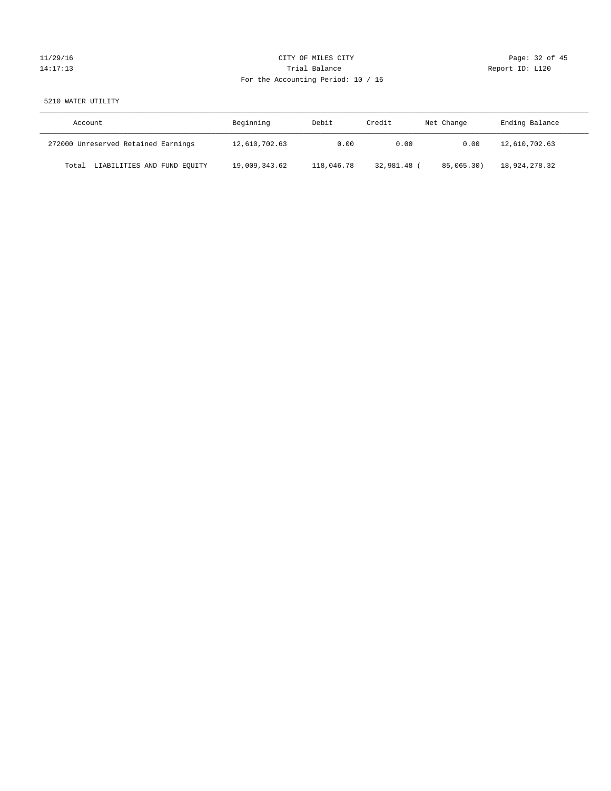# 11/29/16 Page: 32 of 45 14:17:13 **Trial Balance Trial Balance Report ID:** L120 For the Accounting Period: 10 / 16

#### 5210 WATER UTILITY

| Account                              | Beginning     | Debit      | Credit    | Net Change | Ending Balance |
|--------------------------------------|---------------|------------|-----------|------------|----------------|
| 272000 Unreserved Retained Earnings  | 12,610,702.63 | 0.00       | 0.00      | 0.00       | 12,610,702.63  |
| LIABILITIES AND FUND EQUITY<br>Total | 19,009,343.62 | 118,046.78 | 32,981.48 | 85,065,30) | 18,924,278.32  |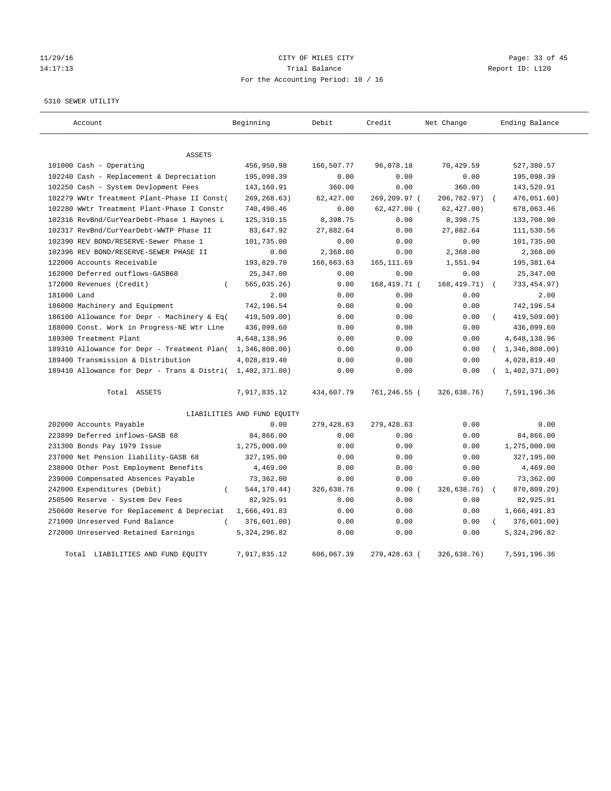#### 11/29/16 Page: 33 of 45 14:17:13 Trial Balance Report ID: L120 For the Accounting Period: 10 / 16

#### 5310 SEWER UTILITY

| Account                                                   | Beginning                   | Debit      | Credit        | Net Change   | Ending Balance          |
|-----------------------------------------------------------|-----------------------------|------------|---------------|--------------|-------------------------|
| ASSETS                                                    |                             |            |               |              |                         |
| 101000 Cash - Operating                                   | 456,950.98                  | 166,507.77 | 96,078.18     | 70,429.59    | 527,380.57              |
| 102240 Cash - Replacement & Depreciation                  | 195,098.39                  | 0.00       | 0.00          | 0.00         | 195,098.39              |
| 102250 Cash - System Devlopment Fees                      | 143,160.91                  | 360.00     | 0.00          | 360.00       | 143,520.91              |
| 102279 WWtr Treatment Plant-Phase II Const(               | 269, 268.63)                | 62,427.00  | 269,209.97 (  | 206,782.97)  | 476,051.60)             |
| 102280 WWtr Treatment Plant-Phase I Constr                | 740,490.46                  | 0.00       | $62,427.00$ ( | 62, 427.00)  | 678,063.46              |
| 102316 RevBnd/CurYearDebt-Phase 1 Haynes L                | 125, 310.15                 | 8,398.75   | 0.00          | 8,398.75     | 133,708.90              |
| 102317 RevBnd/CurYearDebt-WWTP Phase II                   | 83,647.92                   | 27,882.64  | 0.00          | 27,882.64    | 111,530.56              |
| 102390 REV BOND/RESERVE-Sewer Phase 1                     | 101,735.00                  | 0.00       | 0.00          | 0.00         | 101,735.00              |
| 102396 REV BOND/RESERVE-SEWER PHASE II                    | 0.00                        | 2,368.00   | 0.00          | 2,368.00     | 2,368.00                |
| 122000 Accounts Receivable                                | 193,829.70                  | 166,663.63 | 165, 111.69   | 1,551.94     | 195,381.64              |
| 162000 Deferred outflows-GASB68                           | 25, 347.00                  | 0.00       | 0.00          | 0.00         | 25, 347.00              |
| 172000 Revenues (Credit)<br>$\left($                      | $565,035.26$ )              | 0.00       | 168,419.71 (  | 168, 419.71) | 733, 454.97)            |
| 181000 Land                                               | 2.00                        | 0.00       | 0.00          | 0.00         | 2.00                    |
| 186000 Machinery and Equipment                            | 742,196.54                  | 0.00       | 0.00          | 0.00         | 742,196.54              |
| 186100 Allowance for Depr - Machinery & Eq(               | 419,509.00)                 | 0.00       | 0.00          | 0.00         | 419,509.00)<br>$\left($ |
| 188000 Const. Work in Progress-NE Wtr Line                | 436,099.60                  | 0.00       | 0.00          | 0.00         | 436,099.60              |
| 189300 Treatment Plant                                    | 4,648,138.96                | 0.00       | 0.00          | 0.00         | 4,648,138.96            |
| 189310 Allowance for Depr - Treatment Plan(               | 1,346,808.00)               | 0.00       | 0.00          | 0.00         | (1, 346, 808.00)        |
| 189400 Transmission & Distribution                        | 4,028,819.40                | 0.00       | 0.00          | 0.00         | 4,028,819.40            |
| 189410 Allowance for Depr - Trans & Distri( 1,402,371.00) |                             | 0.00       | 0.00          | 0.00         | 1,402,371.00)           |
| Total ASSETS                                              | 7,917,835.12                | 434,607.79 | 761,246.55 (  | 326,638.76)  | 7,591,196.36            |
|                                                           | LIABILITIES AND FUND EQUITY |            |               |              |                         |
| 202000 Accounts Payable                                   | 0.00                        | 279,428.63 | 279,428.63    | 0.00         | 0.00                    |
| 223899 Deferred inflows-GASB 68                           | 84,866.00                   | 0.00       | 0.00          | 0.00         | 84,866.00               |
| 231300 Bonds Pay 1979 Issue                               | 1,275,000.00                | 0.00       | 0.00          | 0.00         | 1,275,000.00            |
| 237000 Net Pension liability-GASB 68                      | 327,195.00                  | 0.00       | 0.00          | 0.00         | 327,195.00              |
| 238000 Other Post Employment Benefits                     | 4,469.00                    | 0.00       | 0.00          | 0.00         | 4,469.00                |
| 239000 Compensated Absences Payable                       | 73,362.00                   | 0.00       | 0.00          | 0.00         | 73,362.00               |
| 242000 Expenditures (Debit)                               | 544,170.44)                 | 326,638.76 | 0.00(         | 326,638.76)  | 870,809.20)             |
| 250500 Reserve - System Dev Fees                          | 82,925.91                   | 0.00       | 0.00          | 0.00         | 82,925.91               |
| 250600 Reserve for Replacement & Depreciat                | 1,666,491.83                | 0.00       | 0.00          | 0.00         | 1,666,491.83            |
| 271000 Unreserved Fund Balance<br>$\left($                | 376,601.00)                 | 0.00       | 0.00          | 0.00         | 376,601.00)             |
| 272000 Unreserved Retained Earnings                       | 5, 324, 296.82              | 0.00       | 0.00          | 0.00         | 5, 324, 296.82          |
| Total LIABILITIES AND FUND EOUITY                         | 7,917,835.12                | 606,067.39 | 279,428.63 (  | 326,638.76)  | 7,591,196.36            |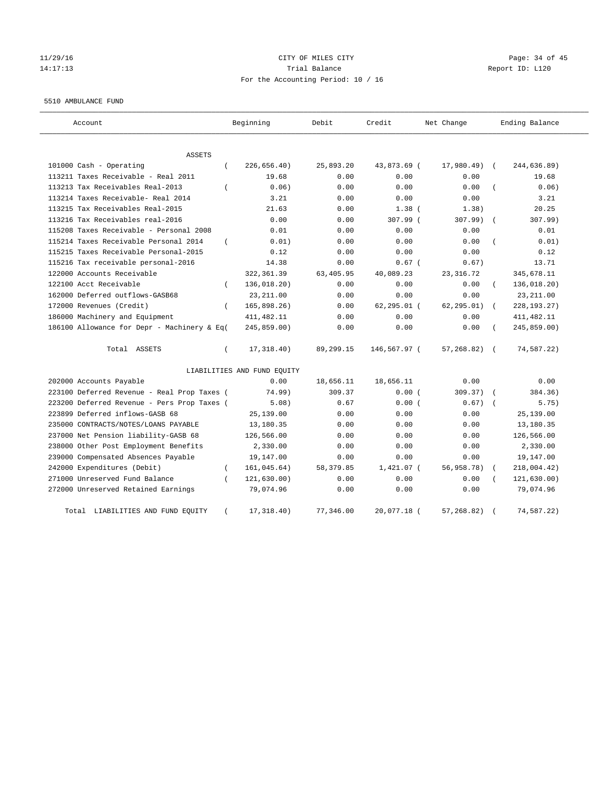## 11/29/16 Page: 34 of 45 14:17:13 Trial Balance Report ID: L120 For the Accounting Period: 10 / 16

#### 5510 AMBULANCE FUND

| Account                                           | Beginning                   | Debit      | Credit         | Net Change      | Ending Balance        |
|---------------------------------------------------|-----------------------------|------------|----------------|-----------------|-----------------------|
| <b>ASSETS</b>                                     |                             |            |                |                 |                       |
| 101000 Cash - Operating<br>$\left($               | 226,656.40)                 | 25,893.20  | 43,873.69 (    | $17,980.49$ (   | 244,636.89)           |
| 113211 Taxes Receivable - Real 2011               | 19.68                       | 0.00       | 0.00           | 0.00            | 19.68                 |
| 113213 Tax Receivables Real-2013                  | 0.06                        | 0.00       | 0.00           | 0.00            | 0.06)                 |
| 113214 Taxes Receivable- Real 2014                | 3.21                        | 0.00       | 0.00           | 0.00            | 3.21                  |
| 113215 Tax Receivables Real-2015                  | 21.63                       | 0.00       | $1.38$ (       | 1.38)           | 20.25                 |
| 113216 Tax Receivables real-2016                  | 0.00                        | 0.00       | 307.99 (       | 307.99)         | 307.99)<br>$\sqrt{2}$ |
| 115208 Taxes Receivable - Personal 2008           | 0.01                        | 0.00       | 0.00           | 0.00            | 0.01                  |
| 115214 Taxes Receivable Personal 2014<br>$\left($ | 0.01)                       | 0.00       | 0.00           | 0.00            | 0.01)                 |
| 115215 Taxes Receivable Personal-2015             | 0.12                        | 0.00       | 0.00           | 0.00            | 0.12                  |
| 115216 Tax receivable personal-2016               | 14.38                       | 0.00       | $0.67$ (       | 0.67)           | 13.71                 |
| 122000 Accounts Receivable                        | 322, 361.39                 | 63,405.95  | 40,089.23      | 23, 316.72      | 345,678.11            |
| 122100 Acct Receivable<br>$\left($                | 136,018.20)                 | 0.00       | 0.00           | 0.00            | 136,018.20)           |
| 162000 Deferred outflows-GASB68                   | 23, 211.00                  | 0.00       | 0.00           | 0.00            | 23, 211.00            |
| 172000 Revenues (Credit)<br>$\left($              | 165,898.26)                 | 0.00       | $62, 295.01$ ( | 62, 295.01)     | 228, 193. 27)         |
| 186000 Machinery and Equipment                    | 411, 482.11                 | 0.00       | 0.00           | 0.00            | 411, 482.11           |
| 186100 Allowance for Depr - Machinery & Eq(       | 245,859.00)                 | 0.00       | 0.00           | 0.00            | 245,859.00)           |
| Total ASSETS<br>$\left($                          | 17,318.40)                  | 89,299.15  | 146,567.97 (   | $57,268.82$ ) ( | 74,587.22)            |
|                                                   | LIABILITIES AND FUND EQUITY |            |                |                 |                       |
| 202000 Accounts Payable                           | 0.00                        | 18,656.11  | 18,656.11      | 0.00            | 0.00                  |
| 223100 Deferred Revenue - Real Prop Taxes (       | 74.99)                      | 309.37     | 0.00(          | 309.37)         | 384.36)               |
| 223200 Deferred Revenue - Pers Prop Taxes (       | 5.08)                       | 0.67       | 0.00(          | 0.67)           | 5.75)                 |
| 223899 Deferred inflows-GASB 68                   | 25,139.00                   | 0.00       | 0.00           | 0.00            | 25,139.00             |
| 235000 CONTRACTS/NOTES/LOANS PAYABLE              | 13,180.35                   | 0.00       | 0.00           | 0.00            | 13,180.35             |
| 237000 Net Pension liability-GASB 68              | 126,566.00                  | 0.00       | 0.00           | 0.00            | 126,566.00            |
| 238000 Other Post Employment Benefits             | 2,330.00                    | 0.00       | 0.00           | 0.00            | 2,330.00              |
| 239000 Compensated Absences Payable               | 19,147.00                   | 0.00       | 0.00           | 0.00            | 19,147.00             |
| 242000 Expenditures (Debit)<br>$\left($           | 161,045.64)                 | 58, 379.85 | $1,421.07$ (   | 56,958.78)      | 218,004.42)           |
| 271000 Unreserved Fund Balance                    | 121, 630.00)                | 0.00       | 0.00           | 0.00            | 121,630.00)           |
| 272000 Unreserved Retained Earnings               | 79,074.96                   | 0.00       | 0.00           | 0.00            | 79,074.96             |
| Total LIABILITIES AND FUND EQUITY                 | 17,318.40)                  | 77,346.00  | 20,077.18 (    | 57,268.82)      | 74,587.22)            |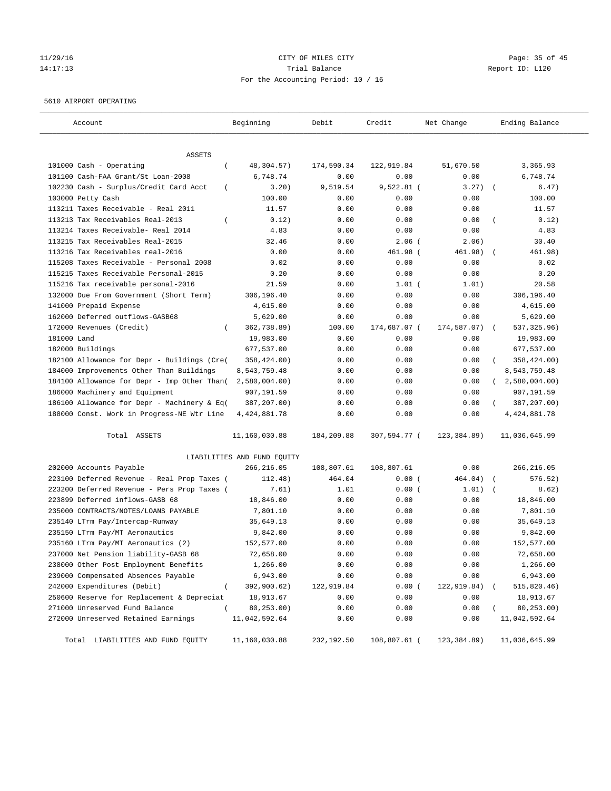## 11/29/16 Page: 35 of 45 14:17:13 Trial Balance Report ID: L120 For the Accounting Period: 10 / 16

#### 5610 AIRPORT OPERATING

| Account                                            | Beginning                   | Debit      | Credit       | Net Change   | Ending Balance             |
|----------------------------------------------------|-----------------------------|------------|--------------|--------------|----------------------------|
| ASSETS                                             |                             |            |              |              |                            |
| 101000 Cash - Operating<br>$\left($                | 48,304.57)                  | 174,590.34 | 122,919.84   | 51,670.50    | 3,365.93                   |
| 101100 Cash-FAA Grant/St Loan-2008                 | 6,748.74                    | 0.00       | 0.00         | 0.00         | 6,748.74                   |
| 102230 Cash - Surplus/Credit Card Acct<br>$\left($ | 3.20)                       | 9,519.54   | $9,522.81$ ( | 3.27)        | 6.47)<br>$\sqrt{2}$        |
| 103000 Petty Cash                                  | 100.00                      | 0.00       | 0.00         | 0.00         | 100.00                     |
| 113211 Taxes Receivable - Real 2011                | 11.57                       | 0.00       | 0.00         | 0.00         | 11.57                      |
| 113213 Tax Receivables Real-2013                   | 0.12)                       | 0.00       | 0.00         | 0.00         | 0.12)                      |
| 113214 Taxes Receivable- Real 2014                 | 4.83                        | 0.00       | 0.00         | 0.00         | 4.83                       |
| 113215 Tax Receivables Real-2015                   | 32.46                       | 0.00       | $2.06$ (     | 2.06)        | 30.40                      |
| 113216 Tax Receivables real-2016                   | 0.00                        | 0.00       | 461.98 (     | 461.98)      | 461.98)                    |
| 115208 Taxes Receivable - Personal 2008            | 0.02                        | 0.00       | 0.00         | 0.00         | 0.02                       |
| 115215 Taxes Receivable Personal-2015              | 0.20                        | 0.00       | 0.00         | 0.00         | 0.20                       |
| 115216 Tax receivable personal-2016                | 21.59                       | 0.00       | $1.01$ (     | 1.01)        | 20.58                      |
| 132000 Due From Government (Short Term)            | 306,196.40                  | 0.00       | 0.00         | 0.00         | 306,196.40                 |
| 141000 Prepaid Expense                             | 4,615.00                    | 0.00       | 0.00         | 0.00         | 4,615.00                   |
| 162000 Deferred outflows-GASB68                    | 5,629.00                    | 0.00       | 0.00         | 0.00         | 5,629.00                   |
| 172000 Revenues (Credit)                           | 362,738.89)                 | 100.00     | 174,687.07 ( | 174,587.07)  | 537, 325.96)<br>$\sqrt{2}$ |
| 181000 Land                                        | 19,983.00                   | 0.00       | 0.00         | 0.00         | 19,983.00                  |
| 182000 Buildings                                   | 677,537.00                  | 0.00       | 0.00         | 0.00         | 677,537.00                 |
| 182100 Allowance for Depr - Buildings (Cre(        | 358,424.00)                 | 0.00       | 0.00         | 0.00         | 358,424.00)                |
| 184000 Improvements Other Than Buildings           | 8,543,759.48                | 0.00       | 0.00         | 0.00         | 8,543,759.48               |
| 184100 Allowance for Depr - Imp Other Than(        | 2,580,004.00                | 0.00       | 0.00         | 0.00         | 2,580,004.00               |
| 186000 Machinery and Equipment                     | 907,191.59                  | 0.00       | 0.00         | 0.00         | 907,191.59                 |
| 186100 Allowance for Depr - Machinery & Eq(        | 387,207.00)                 | 0.00       | 0.00         | 0.00         | 387,207.00)                |
| 188000 Const. Work in Progress-NE Wtr Line         | 4, 424, 881. 78             | 0.00       | 0.00         | 0.00         | 4, 424, 881.78             |
| Total ASSETS                                       | 11,160,030.88               | 184,209.88 | 307,594.77 ( | 123,384.89)  | 11,036,645.99              |
|                                                    | LIABILITIES AND FUND EQUITY |            |              |              |                            |
| 202000 Accounts Payable                            | 266,216.05                  | 108,807.61 | 108,807.61   | 0.00         | 266, 216.05                |
| 223100 Deferred Revenue - Real Prop Taxes (        | 112.48)                     | 464.04     | 0.00(        | 464.04)      | 576.52)                    |
| 223200 Deferred Revenue - Pers Prop Taxes (        | 7.61)                       | 1.01       | 0.00(        | 1.01)        | 8.62)                      |
| 223899 Deferred inflows-GASB 68                    | 18,846.00                   | 0.00       | 0.00         | 0.00         | 18,846.00                  |
| 235000 CONTRACTS/NOTES/LOANS PAYABLE               | 7,801.10                    | 0.00       | 0.00         | 0.00         | 7,801.10                   |
| 235140 LTrm Pay/Intercap-Runway                    | 35,649.13                   | 0.00       | 0.00         | 0.00         | 35,649.13                  |
| 235150 LTrm Pay/MT Aeronautics                     | 9,842.00                    | 0.00       | 0.00         | 0.00         | 9,842.00                   |
| 235160 LTrm Pay/MT Aeronautics (2)                 | 152,577.00                  | 0.00       | 0.00         | 0.00         | 152,577.00                 |
| 237000 Net Pension liability-GASB 68               | 72,658.00                   | 0.00       | 0.00         | 0.00         | 72,658.00                  |
| 238000 Other Post Employment Benefits              | 1,266.00                    | 0.00       | 0.00         | 0.00         | 1,266.00                   |
| 239000 Compensated Absences Payable                | 6,943.00                    | 0.00       | 0.00         | 0.00         | 6,943.00                   |
| 242000 Expenditures (Debit)<br>$\overline{(\ }$    | 392,900.62)                 | 122,919.84 | 0.00(        | 122,919.84)  | 515,820.46)                |
| 250600 Reserve for Replacement & Depreciat         | 18,913.67                   | 0.00       | 0.00         | 0.00         | 18,913.67                  |
| 271000 Unreserved Fund Balance<br>$\left($         | 80,253.00)                  | 0.00       | 0.00         | 0.00         | 80,253.00)                 |
| 272000 Unreserved Retained Earnings                | 11,042,592.64               | 0.00       | 0.00         | 0.00         | 11,042,592.64              |
| Total LIABILITIES AND FUND EQUITY                  | 11,160,030.88               | 232,192.50 | 108,807.61 ( | 123, 384.89) | 11,036,645.99              |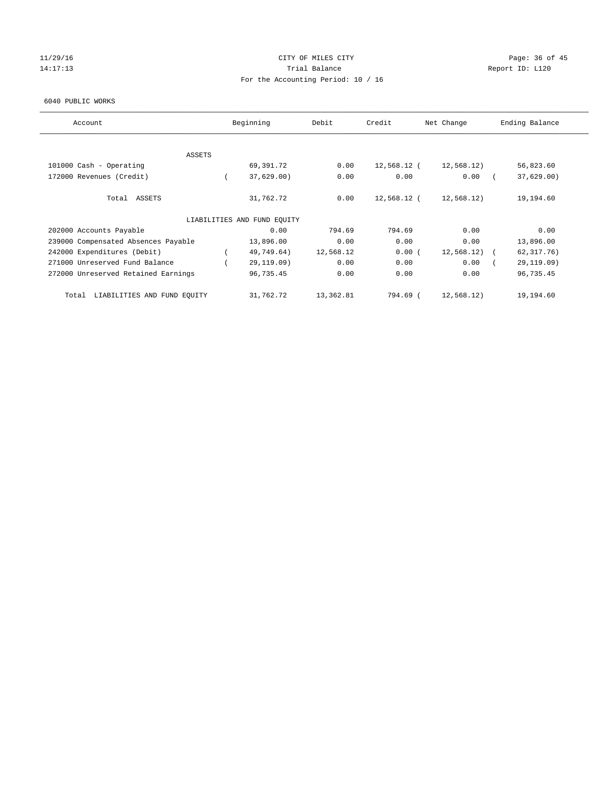#### 11/29/16 Page: 36 of 45 14:17:13 **Trial Balance Trial Balance Report ID:** L120 For the Accounting Period: 10 / 16

#### 6040 PUBLIC WORKS

| Account                              | Beginning                   | Debit     | Credit      | Net Change | Ending Balance |
|--------------------------------------|-----------------------------|-----------|-------------|------------|----------------|
|                                      |                             |           |             |            |                |
| ASSETS<br>101000 Cash - Operating    | 69,391.72                   | 0.00      | 12,568.12 ( | 12,568.12) | 56,823.60      |
|                                      |                             |           |             |            |                |
| 172000 Revenues (Credit)             | 37,629.00                   | 0.00      | 0.00        | 0.00       | 37,629.00      |
| Total ASSETS                         | 31,762.72                   | 0.00      | 12,568.12 ( | 12,568.12) | 19,194.60      |
|                                      | LIABILITIES AND FUND EQUITY |           |             |            |                |
| 202000 Accounts Payable              | 0.00                        | 794.69    | 794.69      | 0.00       | 0.00           |
| 239000 Compensated Absences Payable  | 13,896.00                   | 0.00      | 0.00        | 0.00       | 13,896.00      |
| 242000 Expenditures (Debit)          | 49,749.64)                  | 12,568.12 | 0.00(       | 12,568.12) | 62, 317.76)    |
| 271000 Unreserved Fund Balance       | 29,119.09)                  | 0.00      | 0.00        | 0.00       | 29,119.09)     |
| 272000 Unreserved Retained Earnings  | 96,735.45                   | 0.00      | 0.00        | 0.00       | 96,735.45      |
| LIABILITIES AND FUND EQUITY<br>Total | 31,762.72                   | 13,362.81 | 794.69 (    | 12,568.12) | 19,194.60      |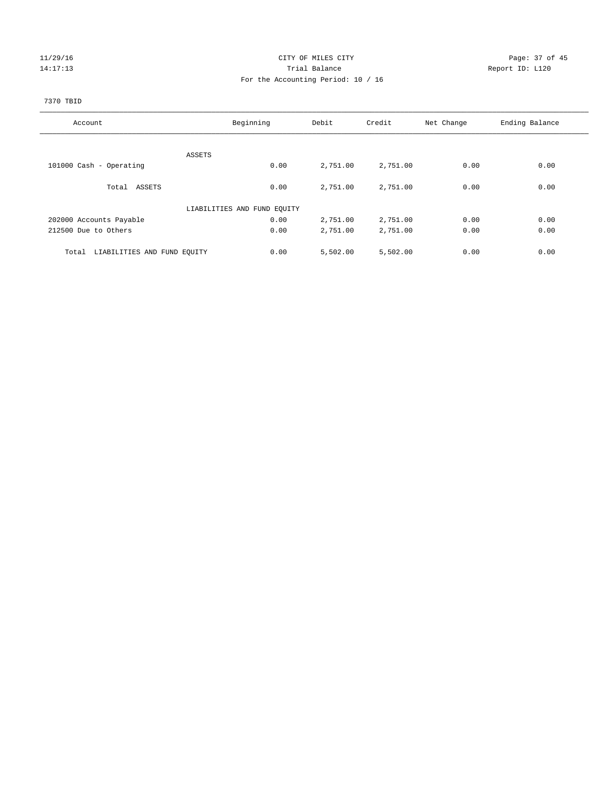#### 11/29/16 Page: 37 of 45 14:17:13 Trial Balance Report ID: L120 For the Accounting Period: 10 / 16

## 7370 TBID

| Account                              | Beginning                   | Debit    | Credit   | Net Change | Ending Balance |
|--------------------------------------|-----------------------------|----------|----------|------------|----------------|
|                                      |                             |          |          |            |                |
|                                      | ASSETS                      |          |          |            |                |
| 101000 Cash - Operating              | 0.00                        | 2,751.00 | 2,751.00 | 0.00       | 0.00           |
| Total ASSETS                         | 0.00                        | 2,751.00 | 2,751.00 | 0.00       | 0.00           |
|                                      | LIABILITIES AND FUND EQUITY |          |          |            |                |
| 202000 Accounts Payable              | 0.00                        | 2,751.00 | 2,751.00 | 0.00       | 0.00           |
| 212500 Due to Others                 | 0.00                        | 2,751.00 | 2,751.00 | 0.00       | 0.00           |
|                                      |                             |          |          |            |                |
| LIABILITIES AND FUND EQUITY<br>Total | 0.00                        | 5,502.00 | 5,502.00 | 0.00       | 0.00           |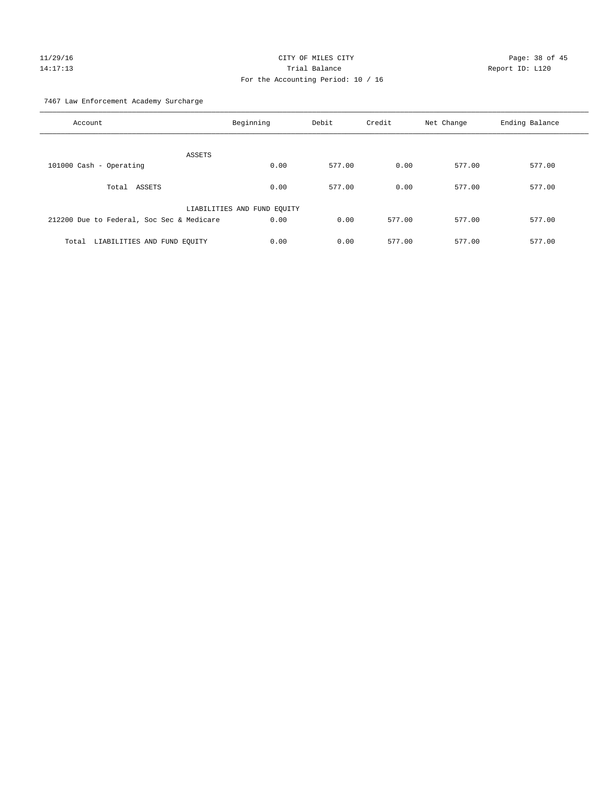# $CITY$  OF MILES  $CITY$  and the contract of  $P_1$   $P_2$  and  $P_3$  and  $P_4$   $P_5$  and  $P_6$   $P_7$   $P_8$   $P_9$   $P_9$   $P_1$   $P_2$   $P_3$   $P_4$   $P_5$   $P_6$   $P_7$   $P_8$   $P_8$   $P_9$   $P_9$   $P_9$   $P_9$   $P_9$   $P_9$   $P_9$   $P_9$   $P_9$   $P$ 14:17:13 Trial Balance Report ID: L120 For the Accounting Period: 10 / 16

7467 Law Enforcement Academy Surcharge

| Account                                   | Beginning                   | Debit  | Credit | Net Change | Ending Balance |
|-------------------------------------------|-----------------------------|--------|--------|------------|----------------|
| ASSETS                                    |                             |        |        |            |                |
| 101000 Cash - Operating                   | 0.00                        | 577.00 | 0.00   | 577.00     | 577.00         |
| Total ASSETS                              | 0.00                        | 577.00 | 0.00   | 577.00     | 577.00         |
|                                           | LIABILITIES AND FUND EQUITY |        |        |            |                |
| 212200 Due to Federal, Soc Sec & Medicare | 0.00                        | 0.00   | 577.00 | 577.00     | 577.00         |
| Total LIABILITIES AND FUND EQUITY         | 0.00                        | 0.00   | 577.00 | 577.00     | 577.00         |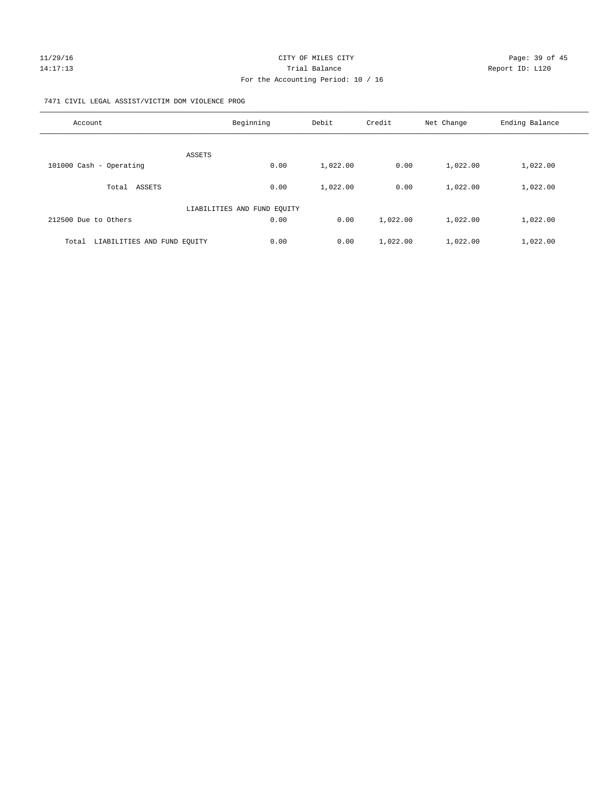#### 7471 CIVIL LEGAL ASSIST/VICTIM DOM VIOLENCE PROG

| Account                              | Beginning                   | Debit    | Credit   | Net Change | Ending Balance |
|--------------------------------------|-----------------------------|----------|----------|------------|----------------|
|                                      | ASSETS                      |          |          |            |                |
| 101000 Cash - Operating              | 0.00                        | 1,022.00 | 0.00     | 1,022.00   | 1,022.00       |
| Total ASSETS                         | 0.00                        | 1,022.00 | 0.00     | 1,022.00   | 1,022.00       |
|                                      | LIABILITIES AND FUND EQUITY |          |          |            |                |
| 212500 Due to Others                 | 0.00                        | 0.00     | 1,022.00 | 1,022.00   | 1,022.00       |
| LIABILITIES AND FUND EQUITY<br>Total | 0.00                        | 0.00     | 1,022.00 | 1,022.00   | 1,022.00       |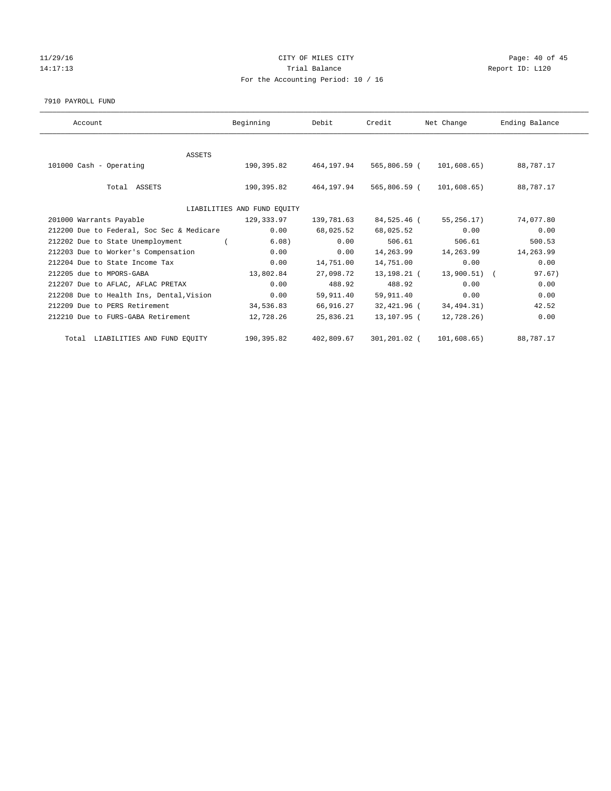#### 11/29/16 Page: 40 of 45 14:17:13 **Trial Balance Report ID:** L120 For the Accounting Period: 10 / 16

#### 7910 PAYROLL FUND

| Account                                   | Beginning                   | Debit      | Credit       | Net Change   | Ending Balance |
|-------------------------------------------|-----------------------------|------------|--------------|--------------|----------------|
|                                           |                             |            |              |              |                |
| ASSETS                                    |                             |            |              |              |                |
| 101000 Cash - Operating                   | 190,395.82                  | 464,197.94 | 565,806.59 ( | 101,608.65)  | 88,787.17      |
|                                           |                             |            |              |              |                |
| Total ASSETS                              | 190,395.82                  | 464,197.94 | 565,806.59 ( | 101,608.65)  | 88,787.17      |
|                                           |                             |            |              |              |                |
|                                           | LIABILITIES AND FUND EQUITY |            |              |              |                |
| 201000 Warrants Payable                   | 129,333.97                  | 139,781.63 | 84,525.46 (  | 55,256.17)   | 74,077.80      |
| 212200 Due to Federal, Soc Sec & Medicare | 0.00                        | 68,025.52  | 68,025.52    | 0.00         | 0.00           |
| 212202 Due to State Unemployment (        | 6.08)                       | 0.00       | 506.61       | 506.61       | 500.53         |
| 212203 Due to Worker's Compensation       | 0.00                        | 0.00       | 14,263.99    | 14,263.99    | 14,263.99      |
| 212204 Due to State Income Tax            | 0.00                        | 14,751.00  | 14,751.00    | 0.00         | 0.00           |
| 212205 due to MPORS-GABA                  | 13,802.84                   | 27,098.72  | 13,198.21 (  | 13,900.51) ( | 97.67)         |
| 212207 Due to AFLAC, AFLAC PRETAX         | 0.00                        | 488.92     | 488.92       | 0.00         | 0.00           |
| 212208 Due to Health Ins, Dental, Vision  | 0.00                        | 59,911.40  | 59,911.40    | 0.00         | 0.00           |
| 212209 Due to PERS Retirement             | 34,536.83                   | 66,916.27  | 32,421.96 (  | 34,494.31)   | 42.52          |
| 212210 Due to FURS-GABA Retirement        | 12,728.26                   | 25,836.21  | 13,107.95 (  | 12,728.26)   | 0.00           |
| Total LIABILITIES AND FUND EQUITY         | 190,395.82                  | 402,809.67 | 301,201.02 ( | 101,608.65)  | 88,787.17      |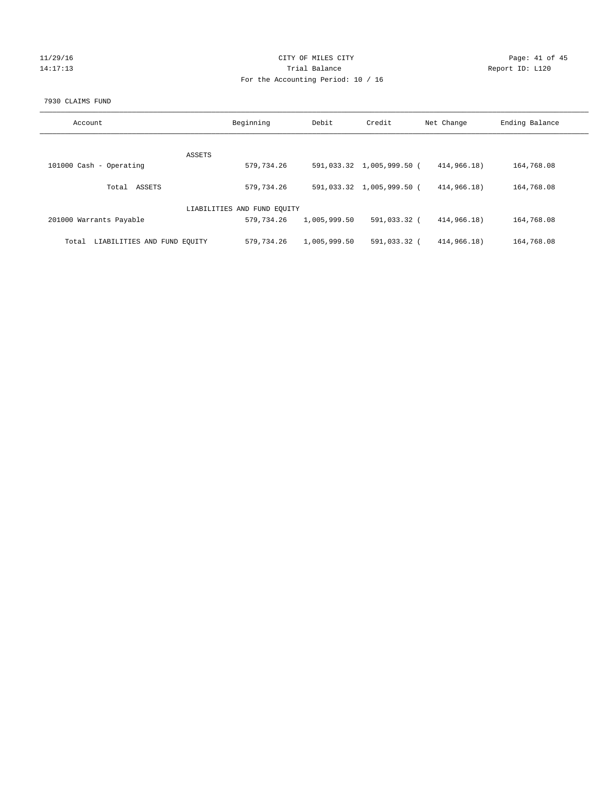## 11/29/16 Page: 41 of 45 14:17:13 **Trial Balance Report ID:** L120 For the Accounting Period: 10 / 16

#### 7930 CLAIMS FUND

| Account                              | Beginning                   | Debit        | Credit                    | Net Change  | Ending Balance |
|--------------------------------------|-----------------------------|--------------|---------------------------|-------------|----------------|
|                                      |                             |              |                           |             |                |
| ASSETS                               |                             |              |                           |             |                |
| 101000 Cash - Operating              | 579,734.26                  |              | 591,033.32 1,005,999.50 ( | 414,966.18) | 164,768.08     |
| ASSETS<br>Total                      | 579,734.26                  |              | 591,033.32 1,005,999.50 ( | 414,966.18) | 164,768.08     |
|                                      | LIABILITIES AND FUND EQUITY |              |                           |             |                |
| 201000 Warrants Payable              | 579,734.26                  | 1,005,999.50 | 591,033.32 (              | 414,966.18) | 164,768.08     |
| LIABILITIES AND FUND EOUITY<br>Total | 579,734.26                  | 1,005,999.50 | 591,033.32 (              | 414,966.18) | 164,768.08     |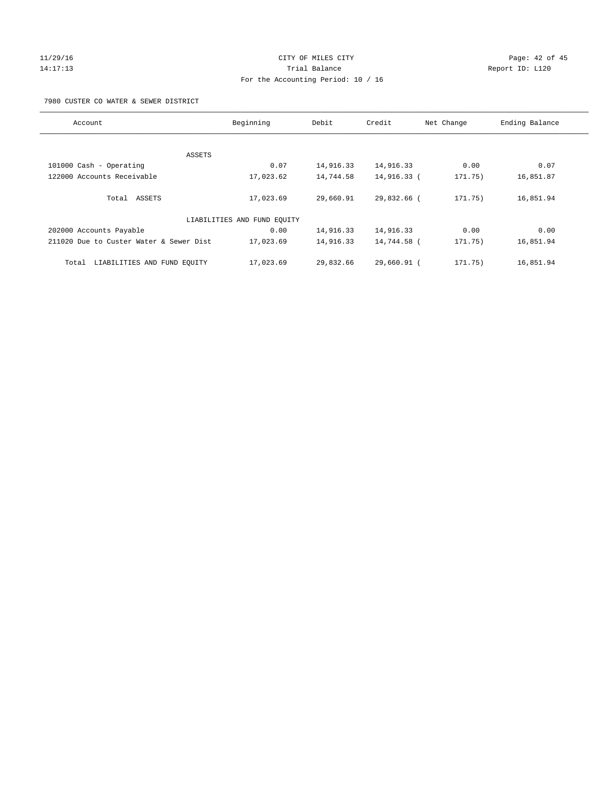#### 11/29/16 Page: 42 of 45 14:17:13 Trial Balance Report ID: L120 For the Accounting Period: 10 / 16

7980 CUSTER CO WATER & SEWER DISTRICT

| Account                                 | Beginning                   | Debit     | Credit      | Net Change | Ending Balance |
|-----------------------------------------|-----------------------------|-----------|-------------|------------|----------------|
|                                         |                             |           |             |            |                |
| ASSETS                                  |                             |           |             |            |                |
| 101000 Cash - Operating                 | 0.07                        | 14,916.33 | 14,916.33   | 0.00       | 0.07           |
| 122000 Accounts Receivable              | 17,023.62                   | 14,744.58 | 14,916.33 ( | 171.75)    | 16,851.87      |
| Total ASSETS                            | 17,023.69                   | 29,660.91 | 29,832.66 ( | 171.75)    | 16,851.94      |
|                                         | LIABILITIES AND FUND EQUITY |           |             |            |                |
| 202000 Accounts Payable                 | 0.00                        | 14,916.33 | 14,916.33   | 0.00       | 0.00           |
| 211020 Due to Custer Water & Sewer Dist | 17,023.69                   | 14,916.33 | 14,744.58 ( | 171.75)    | 16,851.94      |
| LIABILITIES AND FUND EQUITY<br>Total    | 17,023.69                   | 29,832.66 | 29,660.91 ( | 171.75)    | 16,851.94      |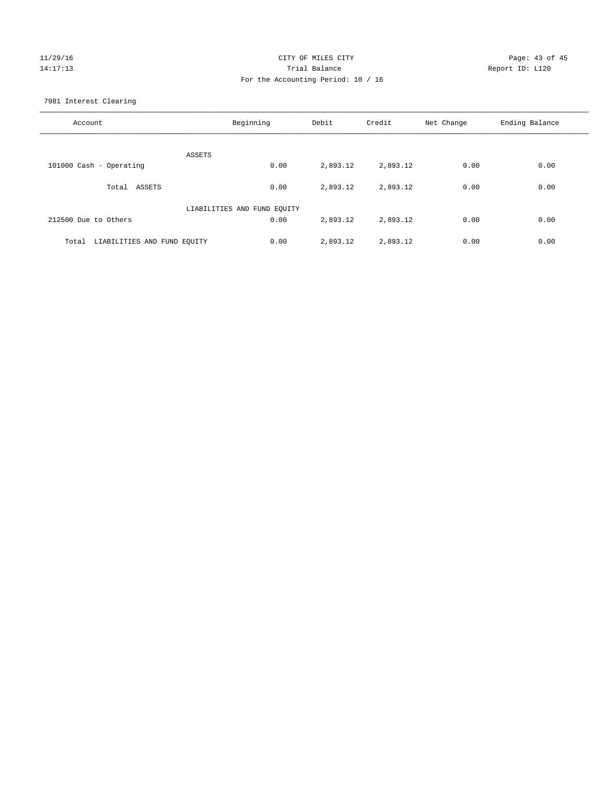## 11/29/16 Page: 43 of 45 14:17:13 Trial Balance Report ID: L120 For the Accounting Period: 10 / 16

7981 Interest Clearing

| Account                           | Beginning                   | Debit    | Credit   | Net Change | Ending Balance |
|-----------------------------------|-----------------------------|----------|----------|------------|----------------|
|                                   | ASSETS                      |          |          |            |                |
| 101000 Cash - Operating           | 0.00                        | 2,893.12 | 2,893.12 | 0.00       | 0.00           |
| Total ASSETS                      | 0.00                        | 2,893.12 | 2,893.12 | 0.00       | 0.00           |
|                                   | LIABILITIES AND FUND EQUITY |          |          |            |                |
| 212500 Due to Others              | 0.00                        | 2,893.12 | 2,893.12 | 0.00       | 0.00           |
| Total LIABILITIES AND FUND EQUITY | 0.00                        | 2,893.12 | 2,893.12 | 0.00       | 0.00           |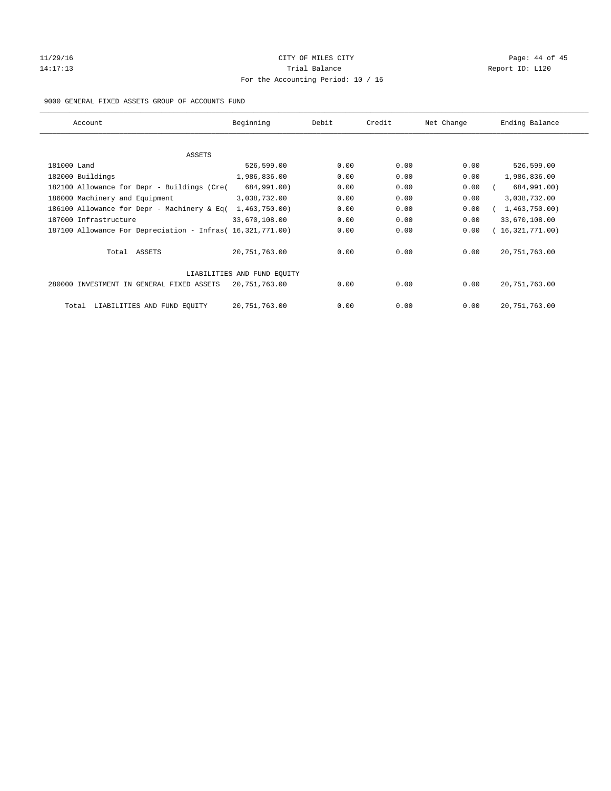## 11/29/16 Page: 44 of 45 14:17:13 **Trial Balance Report ID:** L120 For the Accounting Period: 10 / 16

#### 9000 GENERAL FIXED ASSETS GROUP OF ACCOUNTS FUND

| Account                                                    | Beginning                   | Debit | Credit | Net Change | Ending Balance  |
|------------------------------------------------------------|-----------------------------|-------|--------|------------|-----------------|
| ASSETS                                                     |                             |       |        |            |                 |
| 181000 Land                                                | 526,599.00                  | 0.00  | 0.00   | 0.00       | 526,599.00      |
| 182000 Buildings                                           | 1,986,836.00                | 0.00  | 0.00   | 0.00       | 1,986,836.00    |
| 182100 Allowance for Depr - Buildings (Cre(                | 684,991.00)                 | 0.00  | 0.00   | 0.00       | 684,991.00)     |
| 186000 Machinery and Equipment                             | 3,038,732.00                | 0.00  | 0.00   | 0.00       | 3,038,732.00    |
| 186100 Allowance for Depr - Machinery & Eq(                | 1,463,750.00)               | 0.00  | 0.00   | 0.00       | 1,463,750.00)   |
| 187000 Infrastructure                                      | 33,670,108.00               | 0.00  | 0.00   | 0.00       | 33,670,108.00   |
| 187100 Allowance For Depreciation - Infras( 16,321,771.00) |                             | 0.00  | 0.00   | 0.00       | 16,321,771.00)  |
| Total ASSETS                                               | 20,751,763.00               | 0.00  | 0.00   | 0.00       | 20, 751, 763.00 |
|                                                            | LIABILITIES AND FUND EQUITY |       |        |            |                 |
| 280000 INVESTMENT IN GENERAL FIXED ASSETS                  | 20,751,763.00               | 0.00  | 0.00   | 0.00       | 20, 751, 763.00 |
| LIABILITIES AND FUND EQUITY<br>Total                       | 20, 751, 763.00             | 0.00  | 0.00   | 0.00       | 20, 751, 763.00 |